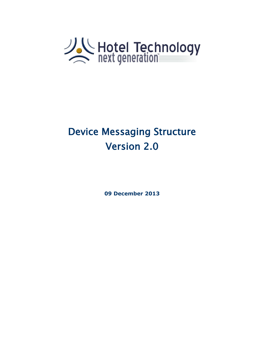

# <span id="page-0-1"></span><span id="page-0-0"></span>Device Messaging Structure Version 2.0

**09 December 2013**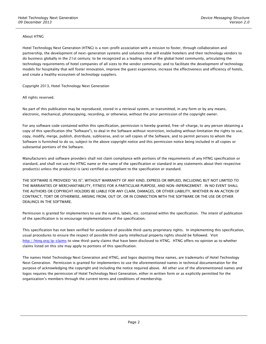#### About HTNG

Hotel Technology Next Generation (HTNG) is a non-profit association with a mission to foster, through collaboration and partnership, the development of next-generation systems and solutions that will enable hoteliers and their technology vendors to do business globally in the 21st century; to be recognized as a leading voice of the global hotel community, articulating the technology requirements of hotel companies of all sizes to the vendor community; and to facilitate the development of technology models for hospitality that will foster innovation, improve the guest experience, increase the effectiveness and efficiency of hotels, and create a healthy ecosystem of technology suppliers.

Copyright 2013, Hotel Technology Next Generation

#### All rights reserved.

No part of this publication may be reproduced, stored in a retrieval system, or transmitted, in any form or by any means, electronic, mechanical, photocopying, recording, or otherwise, without the prior permission of the copyright owner.

For any software code contained within this specification, permission is hereby granted, free-of-charge, to any person obtaining a copy of this specification (the "Software"), to deal in the Software without restriction, including without limitation the rights to use, copy, modify, merge, publish, distribute, sublicense, and/or sell copies of the Software, and to permit persons to whom the Software is furnished to do so, subject to the above copyright notice and this permission notice being included in all copies or substantial portions of the Software.

Manufacturers and software providers shall not claim compliance with portions of the requirements of any HTNG specification or standard, and shall not use the HTNG name or the name of the specification or standard in any statements about their respective product(s) unless the product(s) is (are) certified as compliant to the specification or standard.

THE SOFTWARE IS PROVIDED "AS IS", WITHOUT WARRANTY OF ANY KIND, EXPRESS OR IMPLIED, INCLUDING BUT NOT LIMITED TO THE WARRANTIES OF MERCHANTABILITY, FITNESS FOR A PARTICULAR PURPOSE, AND NON-INFRINGEMENT. IN NO EVENT SHALL THE AUTHORS OR COPYRIGHT HOLDERS BE LIABLE FOR ANY CLAIM, DAMAGES, OR OTHER LIABILITY, WHETHER IN AN ACTION OF CONTRACT, TORT OR OTHERWISE, ARISING FROM, OUT OF, OR IN CONNECTION WITH THE SOFTWARE OR THE USE OR OTHER DEALINGS IN THE SOFTWARE.

Permission is granted for implementers to use the names, labels, etc. contained within the specification. The intent of publication of the specification is to encourage implementations of the specification.

This specification has not been verified for avoidance of possible third-party proprietary rights. In implementing this specification, usual procedures to ensure the respect of possible third-party intellectual property rights should be followed. Visit <http://htng.org/ip-claims> to view third-party claims that have been disclosed to HTNG. HTNG offers no opinion as to whether claims listed on this site may apply to portions of this specification.

The names Hotel Technology Next Generation and HTNG, and logos depicting these names, are trademarks of Hotel Technology Next Generation. Permission is granted for implementers to use the aforementioned names in technical documentation for the purpose of acknowledging the copyright and including the notice required above. All other use of the aforementioned names and logos requires the permission of Hotel Technology Next Generation, either in written form or as explicitly permitted for the organization's members through the current terms and conditions of membership.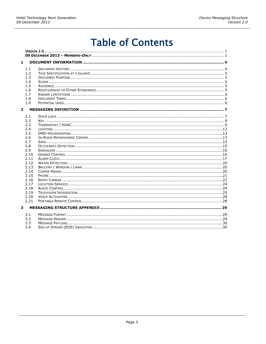# **Table of Contents**

| $\mathbf{1}$   |                                                                                                                                                             |  |
|----------------|-------------------------------------------------------------------------------------------------------------------------------------------------------------|--|
|                | 1.1<br>1.2<br>1.3<br>1.4<br>1.5<br>1.6<br>1.7<br>1.8<br>1.9                                                                                                 |  |
| $\overline{2}$ |                                                                                                                                                             |  |
|                | 2.1<br>2.2<br>2.3<br>2.4<br>2.5<br>2.6<br>2.7<br>2.8<br>2.9<br>2.10<br>2.11<br>2.12<br>2.13<br>2.14<br>2.15<br>2.16<br>2.17<br>2.18<br>2.19<br>2.20<br>2.21 |  |
| 3              |                                                                                                                                                             |  |
|                | 3.1<br>3.2<br>3.3<br>3.4                                                                                                                                    |  |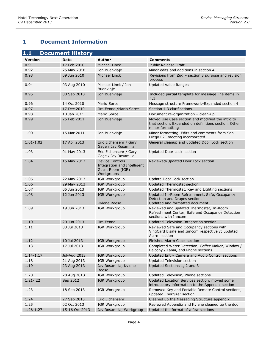## <span id="page-3-0"></span>**1 Document Information**

<span id="page-3-1"></span>

| 1.1            | <b>Document History</b> |                                                                                         |                                                                                                                              |
|----------------|-------------------------|-----------------------------------------------------------------------------------------|------------------------------------------------------------------------------------------------------------------------------|
| <b>Version</b> | <b>Date</b>             | <b>Author</b>                                                                           | <b>Comments</b>                                                                                                              |
| 0.9            | 17 Feb 2010             | <b>Michael Linck</b>                                                                    | <b>Public Release Draft</b>                                                                                                  |
| 0.92           | 25 May 2010             | Jon Buenviaje                                                                           | Minor edits and additions in section 4                                                                                       |
| 0.93           | 09 Jun 2010             | Michael Linck                                                                           | Revisions from Zug - section 3 purpose and revision<br>process                                                               |
| 0.94           | 03 Aug 2010             | Michael Linck / Jon<br>Buenviaje                                                        | <b>Updated Value Ranges</b>                                                                                                  |
| 0.95           | 08 Sep 2010             | Jon Buenviaje                                                                           | Included partial template for message line items in<br>4.1                                                                   |
| 0.96           | 14 Oct 2010             | Mario Sorce                                                                             | Message structure Framework-Expanded section 4                                                                               |
| 0.97           | 17 Dec 2010             | Jim Fenno / Mario Sorce                                                                 | Section 4.3 clarifications -                                                                                                 |
| 0.98           | 10 Jan 2011             | Mario Sorce                                                                             | Document re-organization - clean-up                                                                                          |
| 0.99           | 25 Feb 2011             | Jon Buenviaje                                                                           | Moved Use Case section and modified the intro to<br>that section. Expanded on definitions section. Other<br>minor formatting |
| 1.00           | 15 Mar 2011             | Jon Buenviaje                                                                           | Minor formatting. Edits and comments from San<br>Diego F2F meeting incorporated.                                             |
| $1.01 - 1.02$  | 17 Apr 2013             | Eric Eichensehr / Gary<br>Gage / Jay Rosamilia                                          | General cleanup and updated Door Lock section                                                                                |
| 1.03           | 01 May 2013             | Eric Eichensehr / Gary<br>Gage / Jay Rosamilia                                          | Updated Door Lock section                                                                                                    |
| 1.04           | 15 May 2013             | <b>Device Controls</b><br>Integration and Intelligent<br>Guest Room (IGR)<br>Workgroups | Reviewed/Updated Door Lock section                                                                                           |
| 1.05           | 22 May 2013             | IGR Workgroup                                                                           | Update Door Lock section                                                                                                     |
| 1.06           | 29 May 2013             | IGR Workgroup                                                                           | <b>Updated Thermostat section</b>                                                                                            |
| 1.07           | 05 Jun 2013             | IGR Workgroup                                                                           | Updated Thermostat, Key and Lighting sections                                                                                |
| 1.08           | 12 Jun 2013             | IGR Workgroup<br>Kylene Reese                                                           | Updated In-Room Refreshment, Safe, Occupancy<br>Detection and Drapes sections<br>Updated and formatted document              |
| 1.09           | 19 Jun 2013             | IGR Workgroup                                                                           | Reviewed and updated Thermostat, In-Room<br>Refreshment Center, Safe and Occupancy Detection<br>sections with Inncom         |
| 1.10           | 20 Jun 2013             | Jim Fenno                                                                               | Updated Television Integration section                                                                                       |
| 1.11           | 03 Jul 2013             | IGR Workgroup                                                                           | Reviewed Safe and Occupancy sections with<br>VingCard Elsafe and Inncom respectively; updated<br>Alarm section               |
| 1.12           | 10 Jul 2013             | IGR Workgroup                                                                           | Finished Alarm Clock section                                                                                                 |
| 1.13           | 17 Jul 2013             | IGR Workgroup                                                                           | Completed Water Detection, Coffee Maker, Window /<br>Balcony / Lanai, and Phone sections                                     |
| 1.14-1.17      | Jul-Aug 2013            | IGR Workgroup                                                                           | Updated Entry Camera and Audio Control sections                                                                              |
| 1.18           | 21 Aug 2013             | IGR Workgroup                                                                           | Updated Television section                                                                                                   |
| 1.19           | 23 Aug 2013             | Jay Rosamilia, Kylene<br>Reese                                                          | Updated Sections 1, 2 and 3                                                                                                  |
| 1.20           | 28 Aug 2013             | IGR Workgroup                                                                           | Updated Television, Phone sections                                                                                           |
| $1.21 - .22$   | Sep 2012                | IGR Workgroup                                                                           | Updated Location Services section, moved some<br>introductory information to the Appendix section                            |
| 1.23           | 18 Sep 2013             | IGR Workgroup                                                                           | Removed Key and Portable Remote Control sections,<br>updated Energizer section                                               |
| 1.24           | 27 Sep 2013             | Eric Eichensehr                                                                         | Cleaned up the Messaging Structure appendix                                                                                  |
| 1.25           | 02 Oct 2013             | IGR Workgroup                                                                           | Reviewed Appendix and Kylene cleaned up the doc                                                                              |
| 1.26-1.27      | 15-16 Oct 2013          | Jay Rosamilia, Workgroup                                                                | Updated the format of a few sections                                                                                         |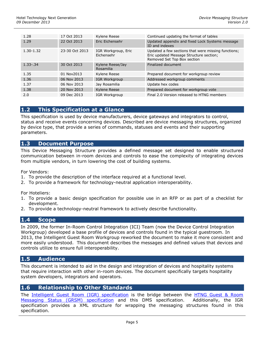| 1.28          | 17 Oct 2013    | Kylene Reese                      | Continued updating the format of tables                                                                                       |
|---------------|----------------|-----------------------------------|-------------------------------------------------------------------------------------------------------------------------------|
| 1.29          | 22 Oct 2013    | Eric Eichensehr                   | Updated appendix and fixed Lock Systems message<br>ID and indexes                                                             |
| $1.30 - 1.32$ | 23-30 Oct 2013 | IGR Workgroup, Eric<br>Eichensehr | Updated a few sections that were missing functions;<br>Eric updated Message Structure section;<br>Removed Set Top Box section |
| $1.33 - .34$  | 30 Oct 2013    | Kylene Reese/Jay<br>Rosamilia     | Finalized document                                                                                                            |
| 1.35          | 01 Nov2013     | Kylene Reese                      | Prepared document for workgroup review                                                                                        |
| 1.36          | 06 Nov 2013    | <b>IGR Workgroup</b>              | Addressed workgroup comments                                                                                                  |
| 1.37          | 06 Nov 2013    | Jay Rosamilia                     | Update hex codes                                                                                                              |
| 1.38          | 20 Nov 2013    | Kylene Reese                      | Prepared document for workgroup vote                                                                                          |
| 2.0           | 09 Dec 2013    | IGR Workgroup                     | Final 2.0 Version released to HTNG members                                                                                    |

#### <span id="page-4-0"></span>**1.2 This Specification at a Glance**

This specification is used by device manufacturers, device gateways and integrators to control, status and receive events concerning devices. Described are device messaging structures, organized by device type, that provide a series of commands, statuses and events and their supporting parameters.

#### <span id="page-4-1"></span>**1.3 Document Purpose**

This Device Messaging Structure provides a defined message set designed to enable structured communication between in-room devices and controls to ease the complexity of integrating devices from multiple vendors, in turn lowering the cost of building systems.

For Vendors:

- 1. To provide the description of the interface required at a functional level.
- 2. To provide a framework for technology-neutral application interoperability.

For Hoteliers:

- 1. To provide a basic design specification for possible use in an RFP or as part of a checklist for development.
- <span id="page-4-2"></span>2. To provide a technology-neutral framework to actively describe functionality.

## **1.4 Scope**

In 2009, the former In-Room Control Integration (ICI) Team (now the Device Control Integration Workgroup) developed a base profile of devices and controls found in the typical guestroom. In 2013, the Intelligent Guest Room Workgroup reworked the document to make it more consistent and more easily understood. This document describes the messages and defined values that devices and controls utilize to ensure full interoperability.

#### <span id="page-4-3"></span>**1.5 Audience**

This document is intended to aid in the design and integration of devices and hospitality systems that require interaction with other in-room devices. The document specifically targets hospitality system developers, integrators and operators.

#### <span id="page-4-4"></span>**1.6 Relationship to Other Standards**

The [Intelligent Guest Room \(IGR\) specification](http://collaboration.htng.org/specs/documents.php?action=show&dcat=48&gdid=25348) is the bridge between the [HTNG Guest & Room](http://collaboration.htng.org/specs/documents.php?action=show&dcat=42&gdid=23699)  [Messaging Status \(GRSM\) specification](http://collaboration.htng.org/specs/documents.php?action=show&dcat=42&gdid=23699) and this DMS specification. Additionally, the IGR specification provides a XML structure for wrapping the messaging structures found in this specification.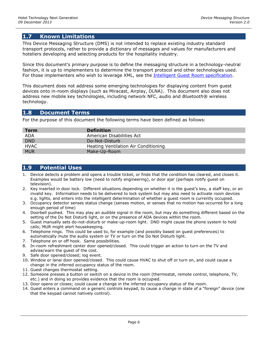## <span id="page-5-0"></span>**1.7 Known Limitations**

This Device Messaging Structure (DMS) is not intended to replace existing industry standard transport protocols, rather to provide a dictionary of messages and values for manufacturers and hoteliers developing and selecting products for the hospitality industry.

Since this document's primary purpose is to define the messaging structure in a technology-neutral fashion, it is up to implementers to determine the transport protocol and other technologies used. For those implementers who wish to leverage XML, see the Intelligent [Guest Room specification.](http://collaboration.htng.org/specs/documents.php?action=show&dcat=48&gdid=25348)

This document does not address some emerging technologies for displaying content from guest devices onto in-room displays (such as Miracast, Airplay, DLNA). This document also does not address new mobile key technologies, including network NFC, audio and *Bluetooth®* wireless technology.

#### <span id="page-5-1"></span>**1.8 Document Terms**

For the purpose of this document the following terms have been defined as follows:

| <b>Term</b> | <b>Definition</b>                    |
|-------------|--------------------------------------|
| ADA         | American Disabilities Act            |
| <b>DND</b>  | Do-Not-Disturb                       |
| <b>HVAC</b> | Heating Ventilation Air Conditioning |
| <b>MUR</b>  | Make-Up-Room                         |

## <span id="page-5-2"></span>**1.9 Potential Uses**

- 1. Device detects a problem and opens a trouble ticket, or finds that the condition has cleared, and closes it. Examples would be battery low (need to notify engineering), or door ajar (perhaps notify guest on television).
- 2. Key inserted in door lock. Different situations depending on whether it is the guest's key, a staff key, or an invalid key. Information needs to be delivered to lock system but may also need to activate room devices e.g. lights, and enters into the intelligent determination of whether a guest room is currently occupied.
- 3. Occupancy detector senses status change (senses motion, or senses that no motion has occurred for a long enough period of time)
- 4. Doorbell pushed. This may play an audible signal in the room, but may do something different based on the setting of the Do Not Disturb light, or on the presence of ADA devices within the room.
- 5. Guest manually sets do-not-disturb or make-up-room light. DND might cause the phone system to hold calls; MUR might alert housekeeping.
- 6. Telephone rings. This could be used to, for example (and possibly based on guest preferences) to automatically mute the audio system or TV or turn on the Do Not Disturb light.
- 7. Telephone on or off hook. Same possibilities.
- 8. In-room refreshment center door opened/closed. This could trigger an action to turn on the TV and advise/warn the guest of the cost.
- 9. Safe door opened/closed; log event.
- 10. Window or lanai door opened/closed. This could cause HVAC to shut off or turn on, and could cause a change in the inferred occupancy status of the room.
- 11. Guest changes thermostat setting.
- 12. Someone presses a button or switch on a device in the room (thermostat, remote control, telephone, TV, etc.) and in doing so provides evidence that the room is occupied.
- 13. Door opens or closes; could cause a change in the inferred occupancy status of the room.
- 14. Guest enters a command on a generic controls keypad, to cause a change in state of a "foreign" device (one that the keypad cannot natively control).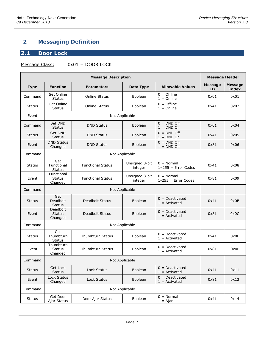## <span id="page-6-0"></span>**2 Messaging Definition**

## <span id="page-6-1"></span>**2.1 Door Lock**

#### Message Class: 0x01 = DOOR LOCK

| <b>Message Description</b> |                                        |                          |                           |                                       | <b>Message Header</b> |                                |
|----------------------------|----------------------------------------|--------------------------|---------------------------|---------------------------------------|-----------------------|--------------------------------|
| <b>Type</b>                | <b>Function</b>                        | <b>Parameters</b>        | Data Type                 | <b>Allowable Values</b>               | <b>Message</b><br>ID  | <b>Message</b><br><b>Index</b> |
| Command                    | Set Online<br><b>Status</b>            | <b>Online Status</b>     | Boolean                   | $0 =$ Offline<br>$1 =$ Online         | 0x01                  | 0x01                           |
| <b>Status</b>              | Get Online<br><b>Status</b>            | <b>Online Status</b>     | <b>Boolean</b>            | $0 =$ Offline<br>$1 =$ Online         | 0x41                  | 0x02                           |
| Event                      |                                        |                          | Not Applicable            |                                       |                       |                                |
| Command                    | Set DND<br><b>Status</b>               | <b>DND Status</b>        | <b>Boolean</b>            | $0 = DND$ Off<br>$1 = DND$ On         | 0x01                  | 0x04                           |
| <b>Status</b>              | Get DND<br><b>Status</b>               | <b>DND Status</b>        | Boolean                   | $0 = DND$ Off<br>$1 = DND$ On         | 0x41                  | 0x05                           |
| Event                      | <b>DND Status</b><br>Changed           | <b>DND Status</b>        | <b>Boolean</b>            | $0 = DND$ Off<br>$1 = DND$ On         | 0x81                  | 0x06                           |
| Command                    |                                        |                          | Not Applicable            |                                       |                       |                                |
| <b>Status</b>              | Get<br>Functional<br><b>Status</b>     | <b>Functional Status</b> | Unsigned 8-bit<br>integer | $0 = Normal$<br>$1-255$ = Error Codes | 0x41                  | 0x08                           |
| Event                      | Functional<br><b>Status</b><br>Changed | <b>Functional Status</b> | Unsigned 8-bit<br>integer | $0 = Normal$<br>$1-255$ = Error Codes | 0x81                  | 0x09                           |
| Command                    |                                        |                          | Not Applicable            |                                       |                       |                                |
| <b>Status</b>              | Get<br>Deadbolt<br><b>Status</b>       | Deadbolt Status          | <b>Boolean</b>            | $0 =$ Deactivated<br>$1 =$ Activated  | 0x41                  | 0x0B                           |
| Event                      | Deadbolt<br><b>Status</b><br>Changed   | Deadbolt Status          | Boolean                   | $0 =$ Deactivated<br>$1 =$ Activated  | 0x81                  | 0x0C                           |
| Command                    |                                        |                          | Not Applicable            |                                       |                       |                                |
| <b>Status</b>              | Get<br>Thumbturn<br><b>Status</b>      | <b>Thumbturn Status</b>  | <b>Boolean</b>            | $0 =$ Deactivated<br>$1 =$ Activated  | 0x41                  | 0x0E                           |
| Event                      | Thumbturn<br><b>Status</b><br>Changed  | <b>Thumbturn Status</b>  | Boolean                   | $0 =$ Deactivated<br>$1 =$ Activated  | 0x81                  | 0x0F                           |
| Command                    |                                        |                          | Not Applicable            |                                       |                       |                                |
| <b>Status</b>              | Get Lock<br><b>Status</b>              | Lock Status              | Boolean                   | $0 =$ Deactivated<br>$1 =$ Activated  | 0x41                  | 0x11                           |
| Event                      | Lock Status<br>Changed                 | Lock Status              | Boolean                   | $0 =$ Deactivated<br>$1 =$ Activated  | 0x81                  | 0x12                           |
| Command                    |                                        |                          | Not Applicable            |                                       |                       |                                |
| <b>Status</b>              | Get Door<br>Ajar Status                | Door Ajar Status         | Boolean                   | $0 = Normal$<br>$1 =$ Ajar            | 0x41                  | 0x14                           |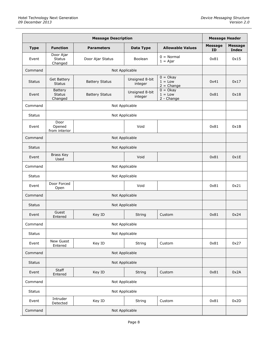|               |                                            | <b>Message Description</b> |                           |                                          | <b>Message Header</b>       |                                |
|---------------|--------------------------------------------|----------------------------|---------------------------|------------------------------------------|-----------------------------|--------------------------------|
| <b>Type</b>   | <b>Function</b>                            | <b>Parameters</b>          | <b>Data Type</b>          | <b>Allowable Values</b>                  | <b>Message</b><br><b>ID</b> | <b>Message</b><br><b>Index</b> |
| Event         | Door Ajar<br><b>Status</b><br>Changed      | Door Ajar Status           | <b>Boolean</b>            | $0 = Normal$<br>$1 =$ Ajar               | 0x81                        | 0x15                           |
| Command       |                                            |                            | Not Applicable            |                                          |                             |                                |
| <b>Status</b> | <b>Get Battery</b><br><b>Status</b>        | <b>Battery Status</b>      | Unsigned 8-bit<br>integer | $0 = O$ kay<br>$1 = Low$<br>$2 = Change$ | 0x41                        | 0x17                           |
| Event         | <b>Battery</b><br><b>Status</b><br>Changed | <b>Battery Status</b>      | Unsigned 8-bit<br>integer | $0 = O$ kay<br>$1 = Low$<br>2 - Change   | 0x81                        | 0x18                           |
| Command       |                                            |                            | Not Applicable            |                                          |                             |                                |
| <b>Status</b> |                                            |                            | Not Applicable            |                                          |                             |                                |
| Event         | Door<br>Opened<br>from interior            |                            | Void                      |                                          | 0x81                        | 0x1B                           |
| Command       |                                            |                            | Not Applicable            |                                          |                             |                                |
| <b>Status</b> |                                            |                            | Not Applicable            |                                          |                             |                                |
| Event         | <b>Brass Key</b><br>Used                   |                            | Void                      |                                          | 0x81                        | 0x1E                           |
| Command       |                                            |                            | Not Applicable            |                                          |                             |                                |
| <b>Status</b> |                                            |                            | Not Applicable            |                                          |                             |                                |
| Event         | Door Forced<br>Open                        |                            | Void                      |                                          | 0x81                        | 0x21                           |
| Command       |                                            |                            | Not Applicable            |                                          |                             |                                |
| <b>Status</b> |                                            |                            | Not Applicable            |                                          |                             |                                |
| Event         | Guest<br>Entered                           | Key ID                     | String                    | Custom                                   | 0x81                        | 0x24                           |
| Command       |                                            |                            | Not Applicable            |                                          |                             |                                |
| <b>Status</b> |                                            |                            | Not Applicable            |                                          |                             |                                |
| Event         | New Guest<br>Entered                       | Key ID                     | String                    | Custom                                   | 0x81                        | 0x27                           |
| Command       |                                            |                            | Not Applicable            |                                          |                             |                                |
| <b>Status</b> |                                            |                            | Not Applicable            |                                          |                             |                                |
| Event         | Staff<br>Entered                           | Key ID                     | String                    | Custom                                   | 0x81                        | 0x2A                           |
| Command       |                                            |                            | Not Applicable            |                                          |                             |                                |
| <b>Status</b> |                                            |                            | Not Applicable            |                                          |                             |                                |
| Event         | Intruder<br>Detected                       | Key ID                     | String                    | Custom                                   | 0x81                        | 0x2D                           |
| Command       |                                            |                            | Not Applicable            |                                          |                             |                                |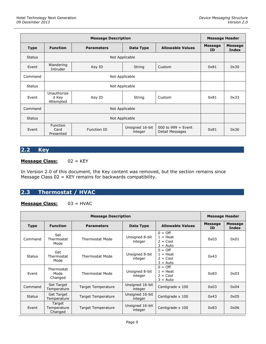|               | <b>Message Description</b>           |                   |                            |                                         |                             |                         |
|---------------|--------------------------------------|-------------------|----------------------------|-----------------------------------------|-----------------------------|-------------------------|
| <b>Type</b>   | <b>Function</b>                      | <b>Parameters</b> | Data Type                  | <b>Allowable Values</b>                 | <b>Message</b><br><b>ID</b> | <b>Message</b><br>Index |
| <b>Status</b> |                                      | Not Applicable    |                            |                                         |                             |                         |
| Event         | Wandering<br>Intruder                | Key ID            | String                     | Custom                                  | 0x81                        | 0x30                    |
| Command       |                                      | Not Applicable    |                            |                                         |                             |                         |
| <b>Status</b> |                                      | Not Applicable    |                            |                                         |                             |                         |
| Event         | Unauthorize<br>d Key<br>Attempted    | Key ID            | String                     | Custom                                  | 0x81                        | 0x33                    |
| Command       |                                      |                   | Not Applicable             |                                         |                             |                         |
| <b>Status</b> |                                      | Not Applicable    |                            |                                         |                             |                         |
| Event         | <b>Function</b><br>Card<br>Presented | Function ID       | Unsigned 16-bit<br>integer | 000 to $999 =$ Event<br>Detail Messages | 0x81                        | 0x36                    |

## <span id="page-8-0"></span>**2.2 Key**

### **Message Class:** 02 = KEY

In Version 2.0 of this document, the Key content was removed, but the section remains since Message Class  $02 = K EY$  remains for backwards compatibility.

## <span id="page-8-1"></span>**2.3 Thermostat / HVAC**

### **Message Class:** 03 = HVAC

|               | <b>Message Description</b>       |                           |                            |                                                            |                      |                                |  |
|---------------|----------------------------------|---------------------------|----------------------------|------------------------------------------------------------|----------------------|--------------------------------|--|
| <b>Type</b>   | <b>Function</b>                  | <b>Parameters</b>         | Data Type                  | <b>Allowable Values</b>                                    | <b>Message</b><br>ID | <b>Message</b><br><b>Index</b> |  |
| Command       | Set<br>Thermostat<br>Mode        | Thermostat Mode           | Unsigned 8-bit<br>integer  | $0 = \text{Off}$<br>$1 =$ Heat<br>$2 = Cool$<br>$3 =$ Auto | 0x03                 | 0x01                           |  |
| <b>Status</b> | Get<br>Thermostat<br>Mode        | <b>Thermostat Mode</b>    | Unsigned 8-bit<br>integer  | $0 = \text{Off}$<br>$1 =$ Heat<br>$2 = Cool$<br>$3 =$ Auto | 0x43                 |                                |  |
| Event         | Thermostat<br>Mode<br>Changed    | <b>Thermostat Mode</b>    | Unsigned 8-bit<br>integer  | $0 = \text{Off}$<br>$1 =$ Heat<br>$2 = Cool$<br>$3 =$ Auto | 0x83                 | 0x03                           |  |
| Command       | Set Target<br>Temperature        | <b>Target Temperature</b> | Unsigned 16-bit<br>integer | Centigrade x 100                                           | 0x03                 | 0x04                           |  |
| <b>Status</b> | <b>Get Target</b><br>Temperature | <b>Target Temperature</b> | Unsigned 16-bit<br>integer | Centigrade x 100                                           | 0x43                 | 0x05                           |  |
| Event         | Target<br>Temperature<br>Changed | <b>Target Temperature</b> | Unsigned 16-bit<br>integer | Centigrade x 100                                           | 0x83                 | 0x06                           |  |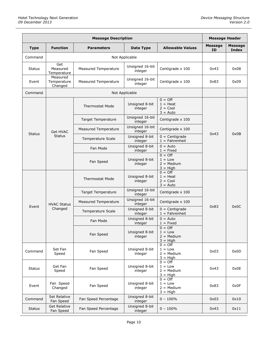| <b>Message Description</b> |                                    |                             |                            |                                                                    | <b>Message Header</b>       |                                |
|----------------------------|------------------------------------|-----------------------------|----------------------------|--------------------------------------------------------------------|-----------------------------|--------------------------------|
| <b>Type</b>                | <b>Function</b>                    | <b>Parameters</b>           | Data Type                  | <b>Allowable Values</b>                                            | <b>Message</b><br><b>ID</b> | <b>Message</b><br><b>Index</b> |
| Command                    |                                    |                             | Not Applicable             |                                                                    |                             |                                |
| <b>Status</b>              | Get<br>Measured<br>Temperature     | Measured Temperature        | Unsigned 16-bit<br>integer | Centigrade x 100                                                   | 0x43                        | 0x08                           |
| Event                      | Measured<br>Temperature<br>Changed | <b>Measured Temperature</b> | Unsigned 16-bit<br>integer | Centigrade x 100                                                   | 0x83                        | 0x09                           |
| Command                    |                                    |                             | Not Applicable             |                                                                    |                             |                                |
|                            |                                    | <b>Thermostat Mode</b>      | Unsigned 8-bit<br>integer  | $0 = \text{Off}$<br>$1 = Heat$<br>$2 = Cool$<br>$3 = Auto$         |                             |                                |
|                            |                                    | <b>Target Temperature</b>   | Unsigned 16-bit<br>integer | Centigrade x 100                                                   |                             |                                |
| <b>Status</b>              | <b>Get HVAC</b>                    | <b>Measured Temperature</b> | Unsigned 16-bit<br>integer | Centigrade x 100                                                   | 0x43                        | 0x0B                           |
|                            | <b>Status</b>                      | Temperature Scale           | Unsigned 8-bit<br>integer  | $0 = Centigrade$<br>$1 = Fahrenheit$                               |                             |                                |
|                            |                                    | Fan Mode                    | Unsigned 8-bit<br>integer  | $0 =$ Auto<br>$1 =$ Fixed                                          |                             |                                |
|                            |                                    | Fan Speed                   | Unsigned 8-bit<br>integer  | $0 = \text{Off}$<br>$1 = Low$<br>$2 = \text{Median}$<br>$3 = High$ |                             |                                |
|                            |                                    | <b>Thermostat Mode</b>      | Unsigned 8-bit<br>integer  | $0 = \text{Off}$<br>$1 =$ Heat<br>$2 = Cool$<br>$3 = Auto$         |                             |                                |
|                            |                                    | <b>Target Temperature</b>   | Unsigned 16-bit<br>integer | Centigrade x 100                                                   |                             |                                |
| Event                      | <b>HVAC Status</b>                 | <b>Measured Temperature</b> | Unsigned 16-bit<br>integer | Centigrade x 100                                                   | 0x83                        | 0x0C                           |
|                            | Changed                            | Temperature Scale           | Unsigned 8-bit<br>integer  | $0 = Centigrade$<br>$1 = Fahrenheit$                               |                             |                                |
|                            |                                    | Fan Mode                    | Unsigned 8-bit<br>integer  | $0 =$ Auto<br>$1 =$ Fixed                                          |                             |                                |
|                            |                                    | Fan Speed                   | Unsigned 8-bit<br>integer  | $0 = \text{Off}$<br>$1 = Low$<br>$2 = \text{Median}$<br>$3 = High$ |                             |                                |
| Command                    | Set Fan<br>Speed                   | Fan Speed                   | Unsigned 8-bit<br>integer  | $0 = \text{Off}$<br>$1 = Low$<br>$2 = \text{Median}$<br>$3 = High$ | 0x03                        | 0x0D                           |
| <b>Status</b>              | Get Fan<br>Speed                   | Fan Speed                   | Unsigned 8-bit<br>integer  | $0 = \text{Off}$<br>$1 = Low$<br>$2 = \text{Median}$<br>$3 = High$ | 0x43                        | 0x0E                           |
| Event                      | Fan Speed<br>Changed               | Fan Speed                   | Unsigned 8-bit<br>integer  | $0 = \text{Off}$<br>$1 = Low$<br>$2 = \text{Median}$<br>$3 = High$ | 0x83                        | 0x0F                           |
| Command                    | Set Relative<br>Fan Speed          | Fan Speed Percentage        | Unsigned 8-bit<br>integer  | $0 - 100\%$                                                        | 0x03                        | 0x10                           |
| <b>Status</b>              | <b>Get Relative</b><br>Fan Speed   | Fan Speed Percentage        | Unsigned 8-bit<br>integer  | $0 - 100\%$                                                        | 0x43                        | 0x11                           |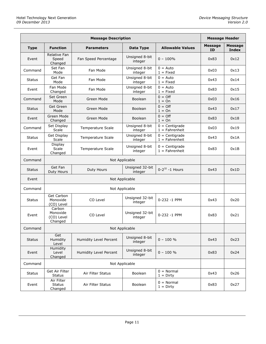|               |                                             | <b>Message Description</b> |                            |                                      | <b>Message Header</b> |                                |
|---------------|---------------------------------------------|----------------------------|----------------------------|--------------------------------------|-----------------------|--------------------------------|
| <b>Type</b>   | <b>Function</b>                             | <b>Parameters</b>          | <b>Data Type</b>           | <b>Allowable Values</b>              | Message<br>ID         | <b>Message</b><br><b>Index</b> |
| Event         | Relative Fan<br>Speed<br>Changed            | Fan Speed Percentage       | Unsigned 8-bit<br>integer  | $0 - 100\%$                          | 0x83                  | 0x12                           |
| Command       | Set Fan<br>Mode                             | Fan Mode                   | Unsigned 8-bit<br>integer  | $0 =$ Auto<br>$1 =$ Fixed            | 0x03                  | 0x13                           |
| <b>Status</b> | Get Fan<br>Mode                             | Fan Mode                   | Unsigned 8-bit<br>integer  | $0 =$ Auto<br>$1 =$ Fixed            | 0x43                  | 0x14                           |
| Event         | Fan Mode<br>Changed                         | Fan Mode                   | Unsigned 8-bit<br>integer  | $0 = Auto$<br>$1 =$ Fixed            | 0x83                  | 0x15                           |
| Command       | Set Green<br>Mode                           | Green Mode                 | <b>Boolean</b>             | $0 = \text{Off}$<br>$1 = On$         | 0x03                  | 0x16                           |
| <b>Status</b> | Get Green<br>Mode                           | Green Mode                 | <b>Boolean</b>             | $0 = \text{Off}$<br>$1 = On$         | 0x43                  | 0x17                           |
| Event         | Green Mode<br>Changed                       | Green Mode                 | <b>Boolean</b>             | $0 = \text{Off}$<br>$1 = On$         | 0x83                  | 0x18                           |
| Command       | Set Display<br>Scale                        | Temperature Scale          | Unsigned 8-bit<br>integer  | $0 = Centigrade$<br>$1 = Fahrenheit$ | 0x03                  | 0x19                           |
| <b>Status</b> | Get Display<br>Scale                        | <b>Temperature Scale</b>   | Unsigned 8-bit<br>integer  | $0 = Centigrade$<br>$1 =$ Fahrenheit | 0x43                  | 0x1A                           |
| Event         | Display<br>Scale<br>Changed                 | Temperature Scale          | Unsigned 8-bit<br>integer  | $0 = Centigrade$<br>$1 =$ Fahrenheit | 0x83                  | 0x1B                           |
| Command       |                                             |                            | Not Applicable             |                                      |                       |                                |
| <b>Status</b> | Get Fan<br>Duty Hours                       | Duty Hours                 | Unsigned 32-bit<br>integer | $0 - 2^{32} - 1$ Hours               | 0x43                  | 0x1D                           |
| Event         |                                             |                            | Not Applicable             |                                      |                       |                                |
| Command       |                                             |                            | Not Applicable             |                                      |                       |                                |
| <b>Status</b> | Get Carbon<br>Monoxide<br>(CO) Level        | CO Level                   | Unsigned 32-bit<br>integer | 0-232 -1 PPM                         | 0x43                  | 0x20                           |
| Event         | Carbon<br>Monoxide<br>(CO) Level<br>Changed | CO Level                   | Unsigned 32-bit<br>integer | 0-232 -1 PPM                         | 0x83                  | 0x21                           |
| Command       |                                             |                            | Not Applicable             |                                      |                       |                                |
| <b>Status</b> | Get<br>Humidity<br>Level                    | Humidity Level Percent     | Unsigned 8-bit<br>integer  | $0 - 100 %$                          | 0x43                  | 0x23                           |
| Event         | Humidity<br>Level<br>Changed                | Humidity Level Percent     | Unsigned 8-bit<br>integer  | $0 - 100 %$                          | 0x83                  | 0x24                           |
| Command       |                                             |                            | Not Applicable             |                                      |                       |                                |
| <b>Status</b> | Get Air Filter<br><b>Status</b>             | Air Filter Status          | Boolean                    | $0 = Normal$<br>$1 =$ Dirty          | 0x43                  | 0x26                           |
| Event         | Air Filter<br><b>Status</b><br>Changed      | Air Filter Status          | Boolean                    | $0 = Normal$<br>$1 =$ Dirty          | 0x83                  | 0x27                           |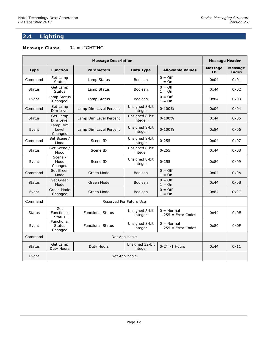## <span id="page-11-0"></span>**2.4 Lighting**

## **Message Class:** 04 = LIGHTING

|               |                                        | <b>Message Description</b> |                            |                                       | <b>Message Header</b> |                                |
|---------------|----------------------------------------|----------------------------|----------------------------|---------------------------------------|-----------------------|--------------------------------|
| <b>Type</b>   | <b>Function</b>                        | <b>Parameters</b>          | <b>Data Type</b>           | <b>Allowable Values</b>               | <b>Message</b><br>ID  | <b>Message</b><br><b>Index</b> |
| Command       | Set Lamp<br><b>Status</b>              | Lamp Status                | <b>Boolean</b>             | $0 = \text{Off}$<br>$1 = On$          | 0x04                  | 0x01                           |
| <b>Status</b> | Get Lamp<br><b>Status</b>              | Lamp Status                | <b>Boolean</b>             | $0 = \text{Off}$<br>$1 = On$          | 0x44                  | 0x02                           |
| Event         | Lamp Status<br>Changed                 | Lamp Status                | Boolean                    | $0 = \text{Off}$<br>$1 = On$          | 0x84                  | 0x03                           |
| Command       | Set Lamp<br>Dim Level                  | Lamp Dim Level Percent     | Unsigned 8-bit<br>integer  | $0 - 100%$                            | 0x04                  | 0x04                           |
| <b>Status</b> | Get Lamp<br>Dim Level                  | Lamp Dim Level Percent     | Unsigned 8-bit<br>integer  | $0 - 100%$                            | 0x44                  | 0x05                           |
| Event         | Lamp Dim<br>Level<br>Changed           | Lamp Dim Level Percent     | Unsigned 8-bit<br>integer  | $0 - 100%$                            | 0x84                  | 0x06                           |
| Command       | Set Scene /<br>Mood                    | Scene ID                   | Unsigned 8-bit<br>integer  | $0 - 255$                             | 0x04                  | 0x07                           |
| <b>Status</b> | Get Scene /<br>Mood                    | Scene ID                   | Unsigned 8-bit<br>integer  | $0 - 255$                             | 0x44                  | 0x08                           |
| Event         | Scene /<br>Mood<br>Changed             | Scene ID                   | Unsigned 8-bit<br>integer  | $0 - 255$                             | 0x84                  | 0x09                           |
| Command       | Set Green<br>Mode                      | Green Mode                 | <b>Boolean</b>             | $0 = \text{Off}$<br>$1 = On$          | 0x04                  | 0x0A                           |
| <b>Status</b> | Get Green<br>Mode                      | Green Mode                 | <b>Boolean</b>             | $0 = \text{Off}$<br>$1 = On$          | 0x44                  | 0x0B                           |
| Event         | Green Mode<br>Changed                  | Green Mode                 | Boolean                    | $0 = \text{Off}$<br>$1 = On$          | 0x84                  | 0x0C                           |
| Command       |                                        |                            | Reserved For Future Use    |                                       |                       |                                |
| <b>Status</b> | Get<br>Functional<br><b>Status</b>     | <b>Functional Status</b>   | Unsigned 8-bit<br>integer  | $0 = Normal$<br>$1-255$ = Error Codes | 0x44                  | 0x0E                           |
| Event         | Functional<br><b>Status</b><br>Changed | <b>Functional Status</b>   | Unsigned 8-bit<br>integer  | $0 = Normal$<br>$1-255$ = Error Codes | 0x84                  | 0x0F                           |
| Command       |                                        |                            | Not Applicable             |                                       |                       |                                |
| <b>Status</b> | Get Lamp<br>Duty Hours                 | Duty Hours                 | Unsigned 32-bit<br>integer | $0 - 2^{32} - 1$ Hours                | 0x44                  | 0x11                           |
| Event         |                                        |                            | Not Applicable             |                                       |                       |                                |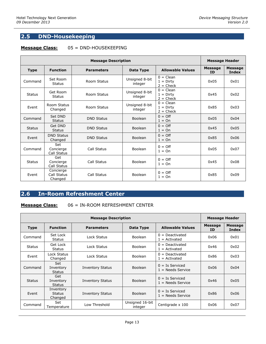## <span id="page-12-0"></span>**2.5 DND-Housekeeping**

### **Message Class:** 05 = DND-HOUSEKEEPING

|               |                                     | <b>Message Description</b> |                           |                                           | <b>Message Header</b>       |                         |
|---------------|-------------------------------------|----------------------------|---------------------------|-------------------------------------------|-----------------------------|-------------------------|
| <b>Type</b>   | <b>Function</b>                     | <b>Parameters</b>          | Data Type                 | <b>Allowable Values</b>                   | <b>Message</b><br><b>ID</b> | <b>Message</b><br>Index |
| Command       | Set Room<br><b>Status</b>           | Room Status                | Unsigned 8-bit<br>integer | $0 = Clean$<br>$1 =$ Dirty<br>$2 =$ Check | 0x05                        | 0x01                    |
| <b>Status</b> | Get Room<br><b>Status</b>           | <b>Room Status</b>         | Unsigned 8-bit<br>integer | $0 = Clean$<br>$1 =$ Dirty<br>$2 =$ Check | 0x45                        | 0x02                    |
| Event         | Room Status<br>Changed              | Room Status                | Unsigned 8-bit<br>integer | $0 = Clean$<br>$1 =$ Dirty<br>$2 =$ Check | 0x85                        | 0x03                    |
| Command       | Set DND<br><b>Status</b>            | <b>DND Status</b>          | <b>Boolean</b>            | $0 = \text{Off}$<br>$1 = On$              | 0x05                        | 0x04                    |
| <b>Status</b> | Get DND<br><b>Status</b>            | <b>DND Status</b>          | Boolean                   | $0 = \text{Off}$<br>$1 = On$              | 0x45                        | 0x05                    |
| Event         | <b>DND Status</b><br>Changed        | <b>DND Status</b>          | Boolean                   | $0 = \text{Off}$<br>$1 = On$              | 0x85                        | 0x06                    |
| Command       | Set<br>Concierge<br>Call Status     | Call Status                | <b>Boolean</b>            | $0 = \text{Off}$<br>$1 = On$              | 0x05                        | 0x07                    |
| <b>Status</b> | Get<br>Concierge<br>Call Status     | Call Status                | Boolean                   | $0 = \text{Off}$<br>$1 = On$              | 0x45                        | 0x08                    |
| Event         | Concierge<br>Call Status<br>Changed | Call Status                | Boolean                   | $0 = \text{Off}$<br>$1 = On$              | 0x85                        | 0x09                    |

## <span id="page-12-1"></span>**2.6 In-Room Refreshment Center**

#### **Message Class:** 06 = IN-ROOM REFRESHMENT CENTER

|               | <b>Message Description</b>            |                         |                            |                                          |                       |                         |
|---------------|---------------------------------------|-------------------------|----------------------------|------------------------------------------|-----------------------|-------------------------|
| <b>Type</b>   | <b>Function</b>                       | <b>Parameters</b>       | Data Type                  | <b>Allowable Values</b>                  | <b>Message</b><br>ID. | <b>Message</b><br>Index |
| Command       | Set Lock<br>Status                    | Lock Status             | <b>Boolean</b>             | $0 =$ Deactivated<br>$1 =$ Activated     | 0x06                  | 0x01                    |
| <b>Status</b> | Get Lock<br>Status                    | Lock Status             | Boolean                    | $0 =$ Deactivated<br>$1 =$ Activated     | 0x46                  | 0x02                    |
| Event         | Lock Status<br>Changed                | Lock Status             | <b>Boolean</b>             | $0 =$ Deactivated<br>$1 =$ Activated     | 0x86                  | 0x03                    |
| Command       | Set<br>Inventory<br>Status            | <b>Inventory Status</b> | Boolean                    | $0 = Is$ Serviced<br>$1 =$ Needs Service | 0x06                  | 0x04                    |
| <b>Status</b> | Get<br>Inventory<br>Status            | <b>Inventory Status</b> | Boolean                    | $0 = Is$ Serviced<br>$1 =$ Needs Service | 0x46                  | 0x05                    |
| Event         | Inventory<br><b>Status</b><br>Changed | <b>Inventory Status</b> | Boolean                    | $0 = Is$ Serviced<br>$1 =$ Needs Service | 0x86                  | 0x06                    |
| Command       | Set<br>Temperature                    | Low Threshold           | Unsigned 16-bit<br>integer | Centigrade x 100                         | 0x06                  | 0x07                    |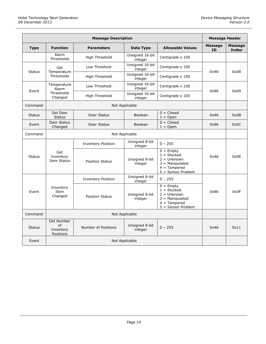|               | <b>Message Description</b>                        |                           |                            |                                                                                                              |                             |                         |
|---------------|---------------------------------------------------|---------------------------|----------------------------|--------------------------------------------------------------------------------------------------------------|-----------------------------|-------------------------|
| <b>Type</b>   | <b>Function</b>                                   | <b>Parameters</b>         | Data Type                  | <b>Allowable Values</b>                                                                                      | <b>Message</b><br><b>ID</b> | <b>Message</b><br>Index |
|               | Alarm<br>Thresholds                               | High Threshold            | Unsigned 16-bit<br>integer | Centigrade x 100                                                                                             |                             |                         |
| <b>Status</b> | Get                                               | Low Threshold             | Unsigned 16-bit<br>integer | Centigrade x 100                                                                                             | 0x46                        | 0x08                    |
|               | Temperature<br>Thresholds                         | High Threshold            | Unsigned 16-bit<br>integer | Centigrade x 100                                                                                             |                             |                         |
| Event         | Temperature<br>Alarm                              | Low Threshold             | Unsigned 16-bit<br>integer | Centigrade x 100                                                                                             | 0x86                        | 0x09                    |
|               | Thresholds<br>Changed                             | High Threshold            | Unsigned 16-bit<br>integer | Centigrade x 100                                                                                             |                             |                         |
| Command       |                                                   |                           | Not Applicable             |                                                                                                              |                             |                         |
| <b>Status</b> | Get Door<br><b>Status</b>                         | Door Status               | Boolean                    | $0 = Closed$<br>$1 =$ Open                                                                                   | 0x46                        | 0x0B                    |
| Event         | Door Status<br>Changed                            | Door Status               | <b>Boolean</b>             | $0 = Closed$<br>$1 =$ Open                                                                                   | 0x86                        | 0x0C                    |
| Command       | Not Applicable                                    |                           |                            |                                                                                                              |                             |                         |
|               | Get<br>Inventory<br><b>Item Status</b>            | <b>Inventory Position</b> | Unsigned 8-bit<br>integer  | $0 - 255$                                                                                                    | 0x46                        |                         |
| <b>Status</b> |                                                   | <b>Position Status</b>    | Unsigned 8-bit<br>integer  | $0 =$ Empty<br>$1 = Stocked$<br>$2 =$ Unknown<br>$3 =$ Manipulated<br>$4 = Tampered$<br>$5 =$ Sensor Problem |                             | 0x0E                    |
|               |                                                   | <b>Inventory Position</b> | Unsigned 8-bit<br>integer  | $0 - 255$                                                                                                    |                             |                         |
| Event         | Inventory<br>Item<br>Changed                      | <b>Position Status</b>    | Unsigned 8-bit<br>integer  | $0 =$ Empty<br>$1 = Stocked$<br>$2 =$ Unknown<br>$3 =$ Manipulated<br>$4 = Tampered$<br>$5 =$ Sensor Problem | 0x86                        | 0x0F                    |
| Command       |                                                   |                           | Not Applicable             |                                                                                                              |                             |                         |
| <b>Status</b> | <b>Get Number</b><br>of<br>Inventory<br>Positions | Number of Positions       | Unsigned 8-bit<br>integer  | $0 - 255$                                                                                                    | 0x46                        | 0x11                    |
| Event         |                                                   |                           | Not Applicable             |                                                                                                              |                             |                         |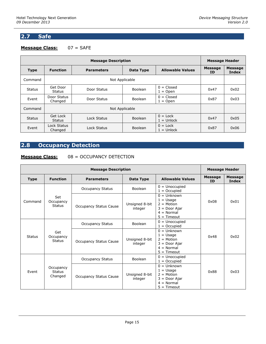## <span id="page-14-0"></span>**2.7 Safe**

## **Message Class:** 07 = SAFE

|               | <b>Message Description</b> |                   |                |                            |                             |                         |
|---------------|----------------------------|-------------------|----------------|----------------------------|-----------------------------|-------------------------|
| <b>Type</b>   | <b>Function</b>            | <b>Parameters</b> | Data Type      | <b>Allowable Values</b>    | <b>Message</b><br><b>ID</b> | <b>Message</b><br>Index |
| Command       | Not Applicable             |                   |                |                            |                             |                         |
| <b>Status</b> | Get Door<br>Status         | Door Status       | Boolean        | $0 = Closed$<br>$1 =$ Open | 0x47                        | 0x02                    |
| Event         | Door Status<br>Changed     | Door Status       | <b>Boolean</b> | $0 = Closed$<br>$1 =$ Open | 0x87                        | 0x03                    |
| Command       |                            |                   | Not Applicable |                            |                             |                         |
| <b>Status</b> | Get Lock<br><b>Status</b>  | Lock Status       | <b>Boolean</b> | $0 =$ Lock<br>$1 =$ Unlock | 0x47                        | 0x05                    |
| Event         | Lock Status<br>Changed     | Lock Status       | <b>Boolean</b> | $0 =$ Lock<br>$1 =$ Unlock | 0x87                        | 0x06                    |

## <span id="page-14-1"></span>**2.8 Occupancy Detection**

## **Message Class:** 08 = OCCUPANCY DETECTION

| <b>Message Description</b> |                                       |                               |                           |                                                                                                  |                             | <b>Message Header</b>   |  |
|----------------------------|---------------------------------------|-------------------------------|---------------------------|--------------------------------------------------------------------------------------------------|-----------------------------|-------------------------|--|
| <b>Type</b>                | <b>Function</b>                       | <b>Parameters</b>             | Data Type                 | <b>Allowable Values</b>                                                                          | <b>Message</b><br><b>ID</b> | <b>Message</b><br>Index |  |
|                            |                                       | <b>Occupancy Status</b>       | <b>Boolean</b>            | $0 =$ Unoccupied<br>$1 = Occupied$                                                               |                             |                         |  |
| Command                    | Set<br>Occupancy<br><b>Status</b>     | <b>Occupancy Status Cause</b> | Unsigned 8-bit<br>integer | $0 =$ Unknown<br>$1 = Usage$<br>$2 = Motion$<br>$3 = Door$ Ajar<br>$4 = Normal$<br>$5 =$ Timeout | 0x08                        | 0x01                    |  |
| <b>Status</b>              | Get<br>Occupancy<br>Status            | <b>Occupancy Status</b>       | <b>Boolean</b>            | $0 =$ Unoccupied<br>$1 = Occupied$                                                               |                             |                         |  |
|                            |                                       | <b>Occupancy Status Cause</b> | Unsigned 8-bit<br>integer | $0 =$ Unknown<br>$1 = Usaqe$<br>$2 = Motion$<br>$3 = Door$ Ajar<br>$4 = Normal$<br>$5 =$ Timeout | 0x48                        | 0x02                    |  |
|                            |                                       | <b>Occupancy Status</b>       | Boolean                   | $0 =$ Unoccupied<br>$1 = Occupied$                                                               |                             |                         |  |
| Event                      | Occupancy<br><b>Status</b><br>Changed | <b>Occupancy Status Cause</b> | Unsigned 8-bit<br>integer | $0 =$ Unknown<br>$1 = Usage$<br>$2 = Motion$<br>$3 = Door$ Ajar<br>$4 = Normal$<br>$5 =$ Timeout | 0x88                        | 0x03                    |  |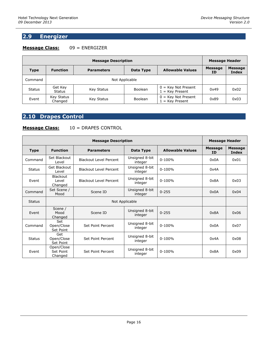## <span id="page-15-0"></span>**2.9 Energizer**

## **Message Class:** 09 = ENERGIZER

| <b>Message Description</b> |                              |                   |                |                                            |                      | <b>Message Header</b>   |  |
|----------------------------|------------------------------|-------------------|----------------|--------------------------------------------|----------------------|-------------------------|--|
| <b>Type</b>                | <b>Function</b>              | <b>Parameters</b> | Data Type      | <b>Allowable Values</b>                    | <b>Message</b><br>ID | <b>Message</b><br>Index |  |
| Command                    | Not Applicable               |                   |                |                                            |                      |                         |  |
| <b>Status</b>              | Get Key<br><b>Status</b>     | <b>Key Status</b> | Boolean        | $0 = Key Not Present$<br>$1 =$ Key Present | 0x49                 | 0x02                    |  |
| Event                      | <b>Key Status</b><br>Changed | <b>Key Status</b> | <b>Boolean</b> | $0 = Key Not Present$<br>$1 =$ Key Present | 0x89                 | 0x03                    |  |

## <span id="page-15-1"></span>**2.10 Drapes Control**

#### **Message Class:** 10 = DRAPES CONTROL

|               | <b>Message Description</b>          |                               |                           |                         |                             |                         |
|---------------|-------------------------------------|-------------------------------|---------------------------|-------------------------|-----------------------------|-------------------------|
| <b>Type</b>   | <b>Function</b>                     | <b>Parameters</b>             | Data Type                 | <b>Allowable Values</b> | <b>Message</b><br><b>ID</b> | <b>Message</b><br>Index |
| Command       | Set Blackout<br>Level               | <b>Blackout Level Percent</b> | Unsigned 8-bit<br>integer | $0 - 100%$              | 0x0A                        | 0x01                    |
| <b>Status</b> | Get Blackout<br>Level               | <b>Blackout Level Percent</b> | Unsigned 8-bit<br>integer | $0 - 100%$              | 0x4A                        |                         |
| Event         | <b>Blackout</b><br>Level<br>Changed | <b>Blackout Level Percent</b> | Unsigned 8-bit<br>integer | $0 - 100%$              | 0x8A                        | 0x03                    |
| Command       | Set Scene /<br>Mood                 | Scene ID                      | Unsigned 8-bit<br>integer | $0 - 255$               | 0x0A                        | 0x04                    |
| <b>Status</b> |                                     |                               | Not Applicable            |                         |                             |                         |
| Event         | Scene /<br>Mood<br>Changed          | Scene ID                      | Unsigned 8-bit<br>integer | $0 - 255$               | 0x8A                        | 0x06                    |
| Command       | Set<br>Open/Close<br>Set Point      | Set Point Percent             | Unsigned 8-bit<br>integer | $0 - 100%$              | 0x0A                        | 0x07                    |
| <b>Status</b> | Get<br>Open/Close<br>Set Point      | Set Point Percent             | Unsigned 8-bit<br>integer | $0 - 100%$              | 0x4A                        | 0x08                    |
| Event         | Open/Close<br>Set Point<br>Changed  | Set Point Percent             | Unsigned 8-bit<br>integer | $0 - 100%$              | 0x8A                        | 0x09                    |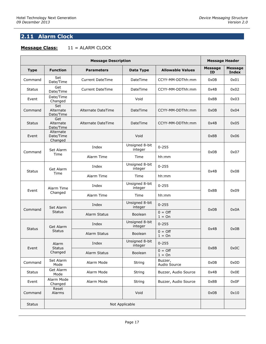## <span id="page-16-0"></span>**2.11 Alarm Clock**

## **Message Class:** 11 = ALARM CLOCK

|               | <b>Message Description</b>        |                         |                           |                              |                      |                                |  |
|---------------|-----------------------------------|-------------------------|---------------------------|------------------------------|----------------------|--------------------------------|--|
| <b>Type</b>   | <b>Function</b>                   | <b>Parameters</b>       | Data Type                 | <b>Allowable Values</b>      | <b>Message</b><br>ID | <b>Message</b><br><b>Index</b> |  |
| Command       | Set<br>Date/Time                  | <b>Current DateTime</b> | DateTime                  | CCYY-MM-DDThh:mm             | 0x0B                 | 0x01                           |  |
| Status        | Get<br>Date/Time                  | <b>Current DateTime</b> | DateTime                  | CCYY-MM-DDThh:mm             | 0x4B                 | 0x02                           |  |
| Event         | Date/Time<br>Changed              |                         | Void                      |                              | 0x8B                 | 0x03                           |  |
| Command       | Set<br>Alternate<br>Date/Time     | Alternate DateTime      | DateTime                  | CCYY-MM-DDThh:mm             | 0x0B                 | 0x04                           |  |
| <b>Status</b> | Get<br>Alternate<br>Date/Time     | Alternate DateTime      | DateTime                  | CCYY-MM-DDThh:mm             | 0x4B                 | 0x05                           |  |
| Event         | Alternate<br>Date/Time<br>Changed |                         | Void                      |                              | 0x8B                 | 0x06                           |  |
|               | Set Alarm                         | Index                   | Unsigned 8-bit<br>integer | $0 - 255$                    |                      |                                |  |
| Command       | Time                              | Alarm Time              | Time                      | hh:mm                        | 0x0B                 | 0x07                           |  |
| <b>Status</b> | Get Alarm<br>Time                 | Index                   | Unsigned 8-bit<br>integer | $0 - 255$                    | 0x4B                 |                                |  |
|               |                                   | Alarm Time              | Time                      | hh:mm                        |                      | 0x08                           |  |
| Event         | Alarm Time                        | Index                   | Unsigned 8-bit<br>integer | $0 - 255$                    | 0x8B                 | 0x09                           |  |
|               | Changed                           | Alarm Time              | Time                      | hh:mm                        |                      |                                |  |
| Command       | Set Alarm                         | Index                   | Unsigned 8-bit<br>integer | $0 - 255$                    | 0x0B                 | 0x0A                           |  |
|               | <b>Status</b>                     | Alarm Status            | Boolean                   | $0 = \text{Off}$<br>$1 = On$ |                      |                                |  |
| <b>Status</b> | Get Alarm                         | Index                   | Unsigned 8-bit<br>integer | $0 - 255$                    | 0x4B                 | 0x0B                           |  |
|               | <b>Status</b>                     | Alarm Status            | Boolean                   | $0 = \text{Off}$<br>$1 = On$ |                      |                                |  |
| Event         | Alarm<br><b>Status</b>            | Index                   | Unsigned 8-bit<br>integer | $0 - 255$                    | 0x8B                 | 0x0C                           |  |
|               | Changed                           | Alarm Status            | Boolean                   | $0 = \text{Off}$<br>$1 = On$ |                      |                                |  |
| Command       | Set Alarm<br>Mode                 | Alarm Mode              | String                    | Buzzer,<br>Audio Source      | 0x0B                 | 0x0D                           |  |
| <b>Status</b> | Get Alarm<br>Mode                 | Alarm Mode              | String                    | Buzzer, Audio Source         | 0x4B                 | 0x0E                           |  |
| Event         | Alarm Mode<br>Changed             | Alarm Mode              | String                    | Buzzer, Audio Source         | 0x8B                 | 0x0F                           |  |
| Command       | Reset<br>Alarms                   |                         | Void                      |                              | 0x0B                 | 0x10                           |  |
| <b>Status</b> |                                   |                         | Not Applicable            |                              |                      |                                |  |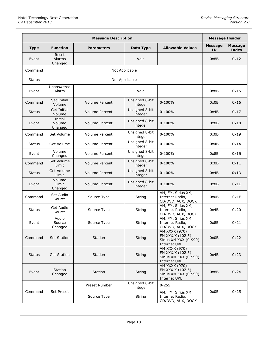|               | <b>Message Description</b>   |                       |                           |                                                                            |                      |                                |
|---------------|------------------------------|-----------------------|---------------------------|----------------------------------------------------------------------------|----------------------|--------------------------------|
| <b>Type</b>   | <b>Function</b>              | <b>Parameters</b>     | Data Type                 | <b>Allowable Values</b>                                                    | <b>Message</b><br>ID | <b>Message</b><br><b>Index</b> |
| Event         | Reset<br>Alarms<br>Changed   |                       | Void                      |                                                                            | 0x8B                 | 0x12                           |
| Command       |                              |                       | Not Applicable            |                                                                            |                      |                                |
| <b>Status</b> |                              |                       | Not Applicable            |                                                                            |                      |                                |
| Event         | Unanswered<br>Alarm          |                       | Void                      |                                                                            | 0x8B                 | 0x15                           |
| Command       | Set Initial<br>Volume        | Volume Percent        | Unsigned 8-bit<br>integer | $0 - 100%$                                                                 | 0x0B                 | 0x16                           |
| <b>Status</b> | <b>Get Initial</b><br>Volume | <b>Volume Percent</b> | Unsigned 8-bit<br>integer | $0 - 100%$                                                                 | 0x4B                 | 0x17                           |
| Event         | Initial<br>Volume<br>Changed | Volume Percent        | Unsigned 8-bit<br>integer | $0 - 100%$                                                                 | 0x8B                 | 0x18                           |
| Command       | Set Volume                   | Volume Percent        | Unsigned 8-bit<br>integer | $0 - 100%$                                                                 | 0x0B                 | 0x19                           |
| <b>Status</b> | Get Volume                   | Volume Percent        | Unsigned 8-bit<br>integer | $0 - 100%$                                                                 | 0x4B                 | 0x1A                           |
| Event         | Volume<br>Changed            | <b>Volume Percent</b> | Unsigned 8-bit<br>integer | $0 - 100%$                                                                 | 0x8B                 | 0x1B                           |
| Command       | Set Volume<br>Limit          | Volume Percent        | Unsigned 8-bit<br>integer | $0 - 100%$                                                                 | 0x0B                 | 0x1C                           |
| <b>Status</b> | Get Volume<br>Limit          | <b>Volume Percent</b> | Unsigned 8-bit<br>integer | $0 - 100%$                                                                 | 0x4B                 | 0x1D                           |
| Event         | Volume<br>Limit<br>Changed   | <b>Volume Percent</b> | Unsigned 8-bit<br>integer | $0 - 100%$                                                                 | 0x8B                 | 0x1E                           |
| Command       | Set Audio<br>Source          | Source Type           | String                    | AM, FM, Sirius XM,<br>Internet Radio,<br>CD/DVD, AUX, DOCK                 | 0x0B                 | 0x1F                           |
| <b>Status</b> | Get Audio<br>Source          | Source Type           | String                    | AM, FM, Sirius XM,<br>Internet Radio,<br>CD/DVD, AUX, DOCK                 | 0x4B                 | 0x20                           |
| Event         | Audio<br>Source<br>Changed   | Source Type           | String                    | AM, FM, Sirius XM,<br>Internet Radio,<br>CD/DVD, AUX, DOCK                 | 0x8B                 | 0x21                           |
| Command       | <b>Set Station</b>           | Station               | String                    | AM XXXX (970)<br>FM XXX.X (102.5)<br>Sirius XM XXX (0-999)<br>Internet URL | 0x0B                 | 0x22                           |
| <b>Status</b> | <b>Get Station</b>           | Station               | String                    | AM XXXX (970)<br>FM XXX.X (102.5)<br>Sirius XM XXX (0-999)<br>Internet URL | 0x4B                 | 0x23                           |
| Event         | Station<br>Changed           | <b>Station</b>        | <b>String</b>             | AM XXXX (970)<br>FM XXX.X (102.5)<br>Sirius XM XXX (0-999)<br>Internet URL | 0x8B                 | 0x24                           |
|               |                              | Preset Number         | Unsigned 8-bit<br>integer | $0 - 255$                                                                  |                      |                                |
| Command       | Set Preset                   | Source Type           | String                    | AM, FM, Sirius XM,<br>Internet Radio,<br>CD/DVD, AUX, DOCK                 | 0x0B                 | 0x25                           |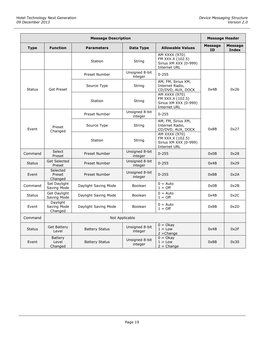|                            |                                    | <b>Message Header</b>     |                           |                                                                                   |                             |                         |
|----------------------------|------------------------------------|---------------------------|---------------------------|-----------------------------------------------------------------------------------|-----------------------------|-------------------------|
| <b>Type</b>                | <b>Function</b>                    | <b>Parameters</b>         | Data Type                 | <b>Allowable Values</b>                                                           | <b>Message</b><br><b>ID</b> | <b>Message</b><br>Index |
|                            |                                    | <b>Station</b>            | String                    | AM XXXX (970)<br>FM XXX.X (102.5)<br>Sirius XM XXX (0-999)<br>Internet URL        |                             |                         |
|                            |                                    | Preset Number             | Unsigned 8-bit<br>integer | $0 - 255$                                                                         |                             |                         |
| <b>Status</b>              | <b>Get Preset</b>                  | Source Type               | String                    | AM, FM, Sirius XM,<br>Internet Radio,<br>CD/DVD, AUX, DOCK                        | 0x4B                        | 0x26                    |
|                            |                                    | Station                   | String                    | AM XXXX (970)<br>FM XXX.X (102.5)<br>Sirius XM XXX (0-999)<br><b>Internet URL</b> |                             |                         |
| Preset<br>Event<br>Changed | Preset Number                      | Unsigned 8-bit<br>integer | $0 - 255$                 |                                                                                   |                             |                         |
|                            |                                    | Source Type               | String                    | AM, FM, Sirius XM,<br>Internet Radio,<br>CD/DVD, AUX, DOCK                        | 0x8B                        | 0x27                    |
|                            |                                    | <b>Station</b>            | String                    | AM XXXX (970)<br>FM XXX.X (102.5)<br>Sirius XM XXX (0-999)<br>Internet URL        |                             |                         |
| Command                    | Select<br>Preset                   | <b>Preset Number</b>      | Unsigned 8-bit<br>integer | $0 - 255$                                                                         | 0x0B                        | 0x28                    |
| <b>Status</b>              | Get Selected<br>Preset             | Preset Number             | Unsigned 8-bit<br>integer | $0 - 255$                                                                         | 0x4B                        | 0x29                    |
| Event                      | Selected<br>Preset<br>Changed      | Preset Number             | Unsigned 8-bit<br>integer | $0 - 255$                                                                         | 0x8B                        | 0x2A                    |
| Command                    | Set Daylight<br>Saving Mode        | Daylight Saving Mode      | <b>Boolean</b>            | $0 = \text{Auto}$<br>$1 = \text{Off}$                                             | 0x0B                        | 0x2B                    |
| <b>Status</b>              | Get Daylight<br>Saving Mode        | Daylight Saving Mode      | Boolean                   | $0 =$ Auto<br>$1 = \text{Off}$                                                    | 0x4B                        | 0x2C                    |
| Event                      | Daylight<br>Saving Mode<br>Changed | Daylight Saving Mode      | <b>Boolean</b>            | $0 =$ Auto<br>$1 = \text{Off}$                                                    | 0x8B                        | 0x2D                    |
| Command                    |                                    |                           | Not Applicable            |                                                                                   |                             |                         |
| <b>Status</b>              | <b>Get Battery</b><br>Level        | <b>Battery Status</b>     | Unsigned 8-bit<br>integer | $\overline{0}$ = Okay<br>$1 = Low$<br>$2$ = Change                                | 0x4B                        | 0x2F                    |
| Event                      | Battery<br>Level<br>Changed        | <b>Battery Status</b>     | Unsigned 8-bit<br>integer | $0 = O$ kay<br>$1 = Low$<br>$2 =$ Change                                          | 0x8B                        | 0x30                    |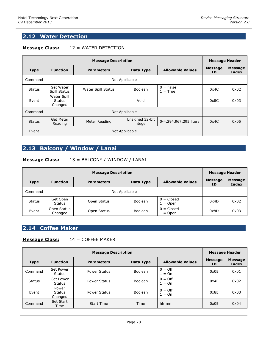## <span id="page-19-0"></span>**2.12 Water Detection**

#### **Message Class:** 12 = WATER DETECTION

|               | <b>Message Description</b>              |                    |                            |                           |                       |                         |
|---------------|-----------------------------------------|--------------------|----------------------------|---------------------------|-----------------------|-------------------------|
| <b>Type</b>   | <b>Function</b>                         | <b>Parameters</b>  | Data Type                  | <b>Allowable Values</b>   | <b>Message</b><br>ID. | <b>Message</b><br>Index |
| Command       | Not Applicable                          |                    |                            |                           |                       |                         |
| <b>Status</b> | Get Water<br>Spill Status               | Water Spill Status | <b>Boolean</b>             | $0 = False$<br>$1 = True$ | 0x4C                  | 0x02                    |
| Event         | Water Spill<br><b>Status</b><br>Changed |                    | Void                       |                           | 0x8C                  | 0x03                    |
| Command       |                                         |                    | Not Applicable             |                           |                       |                         |
| <b>Status</b> | <b>Get Meter</b><br>Reading             | Meter Reading      | Unsigned 32-bit<br>integer | 0-4,294,967,295 liters    | 0x4C                  | 0x05                    |
| Event         | Not Applicable                          |                    |                            |                           |                       |                         |

## <span id="page-19-1"></span>**2.13 Balcony / Window / Lanai**

#### **Message Class:** 13 = BALCONY / WINDOW / LANAI

| <b>Message Description</b> |                           |                   |                |                            |                      | <b>Message Header</b>          |  |
|----------------------------|---------------------------|-------------------|----------------|----------------------------|----------------------|--------------------------------|--|
| <b>Type</b>                | <b>Function</b>           | <b>Parameters</b> | Data Type      | <b>Allowable Values</b>    | <b>Message</b><br>ID | <b>Message</b><br><b>Index</b> |  |
| Command                    | Not Applicable            |                   |                |                            |                      |                                |  |
| <b>Status</b>              | Get Open<br><b>Status</b> | Open Status       | Boolean        | $0 = Closed$<br>$1 =$ Open | 0x4D                 | 0x02                           |  |
| Event                      | Open Status<br>Changed    | Open Status       | <b>Boolean</b> | $0 = Closed$<br>$1 =$ Open | 0x8D                 | 0x03                           |  |

## <span id="page-19-2"></span>**2.14 Coffee Maker**

## **Message Class:** 14 = COFFEE MAKER

| <b>Message Description</b> |                            |                   |           |                              |                | <b>Message Header</b>   |  |
|----------------------------|----------------------------|-------------------|-----------|------------------------------|----------------|-------------------------|--|
| <b>Type</b>                | <b>Function</b>            | <b>Parameters</b> | Data Type | <b>Allowable Values</b>      | Message<br>ID. | <b>Message</b><br>Index |  |
| Command                    | Set Power<br><b>Status</b> | Power Status      | Boolean   | $0 = \text{Off}$<br>$1 = On$ | 0x0E           | 0x01                    |  |
| <b>Status</b>              | Get Power<br><b>Status</b> | Power Status      | Boolean   | $0 = \text{Off}$<br>$1 = On$ | 0x4E           | 0x02                    |  |
| Event                      | Power<br>Status<br>Changed | Power Status      | Boolean   | $0 = \text{Off}$<br>$1 = On$ | 0x8E           | 0x03                    |  |
| Command                    | Set Start<br>Time          | <b>Start Time</b> | Time      | hh:mm                        | 0x0E           | 0x04                    |  |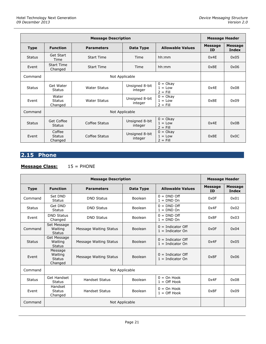|               | <b>Message Description</b>         |                     |                           |                                        |                      |                         |
|---------------|------------------------------------|---------------------|---------------------------|----------------------------------------|----------------------|-------------------------|
| <b>Type</b>   | <b>Function</b>                    | <b>Parameters</b>   | Data Type                 | <b>Allowable Values</b>                | <b>Message</b><br>ID | <b>Message</b><br>Index |
| <b>Status</b> | Get Start<br>Time                  | <b>Start Time</b>   | Time                      | hh:mm                                  | 0x4E                 | 0x05                    |
| Event         | <b>Start Time</b><br>Changed       | <b>Start Time</b>   | Time                      | hh:mm                                  | 0x8E                 | 0x06                    |
| Command       | Not Applicable                     |                     |                           |                                        |                      |                         |
| <b>Status</b> | Get Water<br><b>Status</b>         | <b>Water Status</b> | Unsigned 8-bit<br>integer | $0 = O$ kay<br>$1 = Low$<br>$2 =$ Fill | 0x4E                 | 0x08                    |
| Event         | Water<br><b>Status</b><br>Changed  | <b>Water Status</b> | Unsigned 8-bit<br>integer | $0 = O$ kay<br>$1 = Low$<br>$2 =$ Fill | 0x8E                 | 0x09                    |
| Command       |                                    |                     | Not Applicable            |                                        |                      |                         |
| <b>Status</b> | Get Coffee<br><b>Status</b>        | Coffee Status       | Unsigned 8-bit<br>integer | $0 = O$ kay<br>$1 = Low$<br>$2 =$ Fill | 0x4E                 | 0x0B                    |
| Event         | Coffee<br><b>Status</b><br>Changed | Coffee Status       | Unsigned 8-bit<br>integer | $0 = O$ kay<br>$1 = Low$<br>$2 =$ Fill | 0x8E                 | 0x0C                    |

## <span id="page-20-0"></span>**2.15 Phone**

## **Message Class:** 15 = PHONE

|               | <b>Message Description</b>                     |                        |                |                                            |                             |                         |
|---------------|------------------------------------------------|------------------------|----------------|--------------------------------------------|-----------------------------|-------------------------|
| <b>Type</b>   | <b>Function</b>                                | <b>Parameters</b>      | Data Type      | <b>Allowable Values</b>                    | <b>Message</b><br><b>ID</b> | <b>Message</b><br>Index |
| Command       | Set DND<br><b>Status</b>                       | <b>DND Status</b>      | <b>Boolean</b> | $0 =$ DND Off<br>$1 = DND$ On              | 0x0F                        | 0x01                    |
| <b>Status</b> | Get DND<br><b>Status</b>                       | <b>DND Status</b>      | Boolean        | $0 = DND$ Off<br>$1 = DND$ On              | 0x4F                        | 0x02                    |
| Event         | <b>DND Status</b><br>Changed                   | <b>DND Status</b>      | Boolean        | $0 = DND$ Off<br>$1 = DND$ On              | 0x8F                        | 0x03                    |
| Command       | Set Message<br>Waiting<br><b>Status</b>        | Message Waiting Status | Boolean        | $0 = Indicator$ Off<br>$1 = Indicator On$  | 0x0F                        | 0x04                    |
| <b>Status</b> | Get Message<br>Waiting<br><b>Status</b>        | Message Waiting Status | Boolean        | $0 = Indicator$ Off<br>$1 = Indicator On$  | 0x4F                        | 0x05                    |
| Event         | Message<br>Waiting<br><b>Status</b><br>Changed | Message Waiting Status | <b>Boolean</b> | $0 = Indication$ Off<br>$1 = Indicator On$ | 0x8F                        | 0x06                    |
| Command       |                                                |                        | Not Applicable |                                            |                             |                         |
| <b>Status</b> | Get Handset<br>Status                          | <b>Handset Status</b>  | Boolean        | $0 = On$ Hook<br>$1 =$ Off Hook            | 0x4F                        | 0x08                    |
| Event         | Handset<br><b>Status</b><br>Changed            | <b>Handset Status</b>  | Boolean        | $0 = On Hook$<br>$1 =$ Off Hook            | 0x8F                        | 0x09                    |
| Command       | Not Applicable                                 |                        |                |                                            |                             |                         |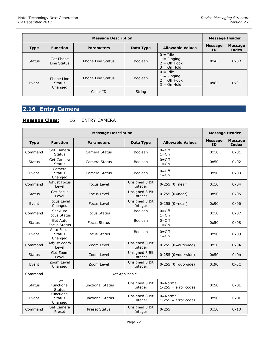| <b>Message Description</b> |                             |                   |           |                                                                |                      | <b>Message Header</b>   |  |
|----------------------------|-----------------------------|-------------------|-----------|----------------------------------------------------------------|----------------------|-------------------------|--|
| <b>Type</b>                | <b>Function</b>             | <b>Parameters</b> | Data Type | <b>Allowable Values</b>                                        | <b>Message</b><br>ID | <b>Message</b><br>Index |  |
| <b>Status</b>              | Get Phone<br>Line Status    | Phone Line Status | Boolean   | $0 =$ Idle<br>$1 =$ Ringing<br>$2 =$ Off Hook<br>$3 = On$ Hold | 0x4F                 | 0x0B                    |  |
| Event                      | Phone Line<br><b>Status</b> | Phone Line Status | Boolean   | $0 =$ Idle<br>$1 =$ Ringing<br>$2 =$ Off Hook<br>$3 = On$ Hold | 0x8F                 | 0x0C                    |  |
|                            | Changed                     | Caller ID         | String    |                                                                |                      |                         |  |

# <span id="page-21-0"></span>**2.16 Entry Camera**

## **Message Class:** 16 = ENTRY CAMERA

|               | <b>Message Description</b>             |                          |                           |                                              |                             |                                |
|---------------|----------------------------------------|--------------------------|---------------------------|----------------------------------------------|-----------------------------|--------------------------------|
| <b>Type</b>   | <b>Function</b>                        | <b>Parameters</b>        | Data Type                 | <b>Allowable Values</b>                      | <b>Message</b><br><b>ID</b> | <b>Message</b><br><b>Index</b> |
| Command       | Set Camera<br><b>Status</b>            | Camera Status            | Boolean                   | $0 =$ Off<br>$1 = On$                        | 0x10                        | 0x01                           |
| <b>Status</b> | Get Camera<br><b>Status</b>            | Camera Status            | <b>Boolean</b>            | $0 =$ Off<br>$1 = On$                        | 0x50                        | 0x02                           |
| Event         | Camera<br><b>Status</b><br>Changed     | Camera Status            | Boolean                   | $0 =$ Off<br>$1 = On$                        | 0x90                        | 0x03                           |
| Command       | <b>Adjust Focus</b><br>Level           | <b>Focus Level</b>       | Unsigned 8 Bit<br>Integer | $0-255$ (0=near)                             | 0x10                        | 0x04                           |
| <b>Status</b> | <b>Get Focus</b><br>Level              | <b>Focus Level</b>       | Unsigned 8 Bit<br>Integer | $0-255$ (0=near)                             | 0x50                        | 0x05                           |
| Event         | Focus Level<br>Changed                 | <b>Focus Level</b>       | Unsigned 8 Bit<br>Integer | $0-255$ (0=near)                             | 0x90                        | 0x06                           |
| Command       | Set Auto<br><b>Focus Status</b>        | <b>Focus Status</b>      | <b>Boolean</b>            | $0 =$ Off<br>$1 = On$                        | 0x10                        | 0x07                           |
| <b>Status</b> | Get Auto<br><b>Focus Status</b>        | <b>Focus Status</b>      | Boolean                   | $0 =$ Off<br>$1 = On$                        | 0x50                        | 0x08                           |
| Event         | Auto Focus<br><b>Status</b><br>Changed | <b>Focus Status</b>      | Boolean                   | $0 =$ Off<br>$1 = On$                        | 0x90                        | 0x09                           |
| Command       | Adjust Zoom<br>Level                   | Zoom Level               | Unsigned 8 Bit<br>Integer | $0-255$ (0=out/wide)                         | 0x10                        | 0x0A                           |
| <b>Status</b> | Get Zoom<br>Level                      | Zoom Level               | Unsigned 8 Bit<br>Integer | 0-255 (0=out/wide)                           | 0x50                        | 0x0b                           |
| Event         | Zoom Level<br>Changed                  | Zoom Level               | Unsigned 8 Bit<br>Integer | 0-255 (0=out/wide)                           | 0x90                        | 0x0C                           |
| Command       |                                        |                          | Not Applicable            |                                              |                             |                                |
| <b>Status</b> | Get<br>Functional<br><b>Status</b>     | <b>Functional Status</b> | Unsigned 8 Bit<br>Integer | $0 = \text{Normal}$<br>$1-255$ = error codes | 0x50                        | 0x0E                           |
| Event         | Functional<br><b>Status</b><br>Changed | <b>Functional Status</b> | Unsigned 8 Bit<br>Integer | $0 = \text{Normal}$<br>$1-255$ = error codes | 0x90                        | 0x0F                           |
| Command       | Set Camera<br>Preset                   | <b>Preset Status</b>     | Unsigned 8 Bit<br>Integer | $0 - 255$                                    | 0x10                        | 0x10                           |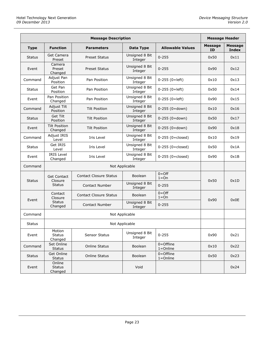|               | <b>Message Description</b>         |                               |                           |                                |                      |                         |
|---------------|------------------------------------|-------------------------------|---------------------------|--------------------------------|----------------------|-------------------------|
| <b>Type</b>   | <b>Function</b>                    | <b>Parameters</b>             | <b>Data Type</b>          | <b>Allowable Values</b>        | <b>Message</b><br>ID | <b>Message</b><br>Index |
| <b>Status</b> | Get Camera<br>Preset               | <b>Preset Status</b>          | Unsigned 8 Bit<br>Integer | $0 - 255$                      | 0x50                 | 0x11                    |
| Event         | Camera<br>Preset<br>Changed        | <b>Preset Status</b>          | Unsigned 8 Bit<br>Integer | $0 - 255$                      | 0x90                 | 0x12                    |
| Command       | Adjust Pan<br>Position             | Pan Position                  | Unsigned 8 Bit<br>Integer | $0-255$ (0=left)               | 0x10                 | 0x13                    |
| <b>Status</b> | Get Pan<br>Position                | Pan Position                  | Unsigned 8 Bit<br>Integer | $0-255$ (0=left)               | 0x50                 | 0x14                    |
| Event         | Pan Position<br>Changed            | Pan Position                  | Unsigned 8 Bit<br>Integer | $0-255$ (0=left)               | 0x90                 | 0x15                    |
| Command       | <b>Adjust Tilt</b><br>Position     | <b>Tilt Position</b>          | Unsigned 8 Bit<br>Integer | $0-255$ (0=down)               | 0x10                 | 0x16                    |
| <b>Status</b> | <b>Get Tilt</b><br>Position        | <b>Tilt Position</b>          | Unsigned 8 Bit<br>Integer | $0-255$ (0=down)               | 0x50                 | 0x17                    |
| Event         | <b>Tilt Position</b><br>Changed    | <b>Tilt Position</b>          | Unsigned 8 Bit<br>Integer | $0-255$ (0=down)               | 0x90                 | 0x18                    |
| Command       | Adjust IRIS<br>Level               | Iris Level                    | Unsigned 8 Bit<br>Integer | $0 - 255$ (0=closed)           | 0x10                 | 0x19                    |
| <b>Status</b> | Get IRIS<br>Level                  | Iris Level                    | Unsigned 8 Bit<br>Integer | $0 - 255$ (0=closed)           | 0x50                 | 0x1A                    |
| Event         | <b>IRIS Level</b><br>Changed       | Iris Level                    | Unsigned 8 Bit<br>Integer | $0-255$ (0=closed)             | 0x90                 | 0x1B                    |
| Command       |                                    |                               | Not Applicable            |                                |                      |                         |
|               | <b>Get Contact</b>                 | <b>Contact Closure Status</b> | Boolean                   | $0 =$ Off<br>$1 = On$          |                      |                         |
| <b>Status</b> | Closure<br><b>Status</b>           | <b>Contact Number</b>         | Unsigned 8 Bit<br>Integer | $0 - 255$                      | 0x50                 | 0x1D                    |
|               | Contact<br>Closure                 | <b>Contact Closure Status</b> | Boolean                   | $0 =$ Off<br>$1 = On$          |                      |                         |
| Event         | <b>Status</b><br>Changed           | Contact Number                | Unsigned 8 Bit<br>Integer | $0 - 255$                      | 0x90                 | 0x0E                    |
| Command       |                                    |                               | Not Applicable            |                                |                      |                         |
| Status        |                                    |                               | Not Applicable            |                                |                      |                         |
| Event         | Motion<br><b>Status</b><br>Changed | Sensor Status                 | Unsigned 8 Bit<br>Integer | $0 - 255$                      | 0x90                 | 0x21                    |
| Command       | Set Online<br><b>Status</b>        | <b>Online Status</b>          | Boolean                   | $0 =$ Offline<br>$1 =$ Online  | 0x10                 | 0x22                    |
| <b>Status</b> | Get Online<br><b>Status</b>        | Online Status                 | Boolean                   | $0 =$ Offline<br>$1 = 0$ nline | 0x50                 | 0x23                    |
| Event         | Online<br><b>Status</b><br>Changed |                               | Void                      |                                |                      | 0x24                    |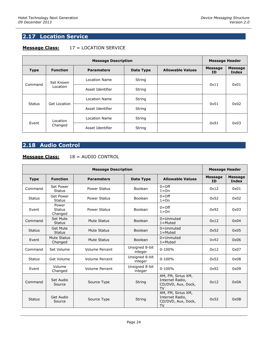## <span id="page-23-0"></span>**2.17 Location Service**

### **Message Class:** 17 = LOCATION SERVICE

|                                  | <b>Message Description</b> |                   |           |                         |                       |                         |
|----------------------------------|----------------------------|-------------------|-----------|-------------------------|-----------------------|-------------------------|
| <b>Type</b>                      | <b>Function</b>            | <b>Parameters</b> | Data Type | <b>Allowable Values</b> | <b>Message</b><br>ID. | <b>Message</b><br>Index |
| Set Known<br>Command<br>Location | Location Name              | String            |           | 0x11                    |                       |                         |
|                                  |                            | Asset Identifier  | String    |                         |                       | 0x01                    |
| <b>Status</b>                    |                            | Location Name     | String    |                         | 0x51                  | 0x02                    |
|                                  | <b>Get Location</b>        | Asset Identifier  | String    |                         |                       |                         |
| Event                            | Location<br>Changed        | Location Name     | String    |                         | 0x91                  | 0x03                    |
|                                  |                            | Asset Identifier  | String    |                         |                       |                         |

## <span id="page-23-1"></span>**2.18 Audio Control**

#### **Message Class:** 18 = AUDIO CONTROL

|               | <b>Message Description</b>        |                     |                           |                                                                          |                             |                         |
|---------------|-----------------------------------|---------------------|---------------------------|--------------------------------------------------------------------------|-----------------------------|-------------------------|
| <b>Type</b>   | <b>Function</b>                   | <b>Parameters</b>   | Data Type                 | <b>Allowable Values</b>                                                  | <b>Message</b><br><b>ID</b> | <b>Message</b><br>Index |
| Command       | Set Power<br><b>Status</b>        | Power Status        | <b>Boolean</b>            | $0 =$ Off<br>$1 = On$                                                    | 0x12                        | 0x01                    |
| <b>Status</b> | Get Power<br><b>Status</b>        | <b>Power Status</b> | <b>Boolean</b>            | $0 =$ Off<br>$1 = On$                                                    | 0x52                        | 0x02                    |
| Event         | Power<br><b>Status</b><br>Changed | <b>Power Status</b> | <b>Boolean</b>            | $0 =$ Off<br>$1 = On$                                                    | 0x92                        | 0x03                    |
| Command       | Set Mute<br><b>Status</b>         | <b>Mute Status</b>  | Boolean                   | $0 =$ Unmuted<br>$1 =$ Muted                                             | 0x12                        | 0x04                    |
| <b>Status</b> | Get Mute<br><b>Status</b>         | Mute Status         | Boolean                   | $0 =$ Unmuted<br>$1 =$ Muted                                             | 0x52                        | 0x05                    |
| Event         | Mute Status<br>Changed            | <b>Mute Status</b>  | <b>Boolean</b>            | $0 =$ Unmuted<br>$1 =$ Muted                                             | 0x92                        | 0x06                    |
| Command       | Set Volume                        | Volume Percent      | Unsigned 8-bit<br>integer | $0 - 100%$                                                               | 0x12                        | 0x07                    |
| <b>Status</b> | Get Volume                        | Volume Percent      | Unsigned 8-bit<br>integer | $0 - 100%$                                                               | 0x52                        | 0x08                    |
| Event         | Volume<br>Changed                 | Volume Percent      | Unsigned 8-bit<br>integer | $0 - 100%$                                                               | 0x92                        | 0x09                    |
| Command       | Set Audio<br>Source               | Source Type         | <b>String</b>             | AM, FM, Sirius XM,<br>Internet Radio,<br>CD/DVD, Aux, Dock,<br><b>TV</b> | 0x12                        | 0x0A                    |
| <b>Status</b> | Get Audio<br>Source               | Source Type         | <b>String</b>             | AM, FM, Sirius XM,<br>Internet Radio,<br>CD/DVD, Aux, Dock,<br><b>TV</b> | 0x52                        | 0x0B                    |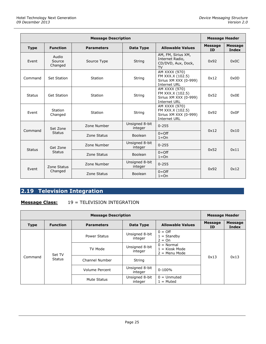|               | <b>Message Description</b> |                   |                                        |                                                                            |                             |                         |
|---------------|----------------------------|-------------------|----------------------------------------|----------------------------------------------------------------------------|-----------------------------|-------------------------|
| <b>Type</b>   | <b>Function</b>            | <b>Parameters</b> | Data Type                              | <b>Allowable Values</b>                                                    | <b>Message</b><br><b>ID</b> | <b>Message</b><br>Index |
| Event         | Audio<br>Source<br>Changed | Source Type       | String                                 | AM, FM, Sirius XM,<br>Internet Radio,<br>CD/DVD, Aux, Dock,<br><b>TV</b>   | 0x92                        | 0x0C                    |
| Command       | <b>Set Station</b>         | Station           | String                                 | AM XXXX (970)<br>FM XXX.X (102.5)<br>Sirius XM XXX (0-999)<br>Internet URL | 0x12                        | 0x0D                    |
| <b>Status</b> | <b>Get Station</b>         | Station           | String                                 | AM XXXX (970)<br>FM XXX.X (102.5)<br>Sirius XM XXX (0-999)<br>Internet URL | 0x52                        | 0x0E                    |
| Event         | Station<br>Changed         | Station           | String                                 | AM XXXX (970)<br>FM XXX.X (102.5)<br>Sirius XM XXX (0-999)<br>Internet URL | 0x92                        | 0x0F                    |
| Command       | Set Zone                   | Zone Number       | Unsigned 8-bit<br>integer              | $0 - 255$                                                                  | 0x12                        | 0x10                    |
|               | <b>Status</b>              | Zone Status       | <b>Boolean</b>                         | $0 =$ Off<br>$1 = On$                                                      |                             |                         |
|               | Get Zone                   | Zone Number       | Unsigned 8-bit<br>integer              | $0 - 255$                                                                  |                             | 0x11                    |
| <b>Status</b> | <b>Status</b>              | Zone Status       | Boolean                                | $0 =$ Off<br>$1 = On$                                                      | 0x52                        |                         |
|               | Zone Status                | Zone Number       | Unsigned 8-bit<br>$0 - 255$<br>integer |                                                                            |                             |                         |
| Event         | Changed                    | Zone Status       | Boolean                                | $0 =$ Off<br>$1 = On$                                                      | 0x92                        | 0x12                    |

# <span id="page-24-0"></span>**2.19 Television Integration**

## **Message Class:** 19 = TELEVISION INTEGRATION

| <b>Message Description</b> |                 |                   |                           |                                                     |                      | <b>Message Header</b>   |  |
|----------------------------|-----------------|-------------------|---------------------------|-----------------------------------------------------|----------------------|-------------------------|--|
| <b>Type</b>                | <b>Function</b> | <b>Parameters</b> | Data Type                 | <b>Allowable Values</b>                             | <b>Message</b><br>ID | <b>Message</b><br>Index |  |
|                            | Set TV          | Power Status      | Unsigned 8-bit<br>integer | $0 = \text{Off}$<br>$1 =$ Standby<br>$2 = On$       |                      |                         |  |
|                            |                 | TV Mode           | Unsigned 8-bit<br>integer | $0 = Normal$<br>$1 =$ Kiosk Mode<br>$2 =$ Menu Mode |                      |                         |  |
| Command                    | <b>Status</b>   | Channel Number    | String                    |                                                     | 0x13                 | 0x13                    |  |
|                            |                 | Volume Percent    | Unsigned 8-bit<br>integer | $0 - 100%$                                          |                      |                         |  |
|                            |                 | Mute Status       | Unsigned 8-bit<br>integer | $0 =$ Unmuted<br>$1 =$ Muted                        |                      |                         |  |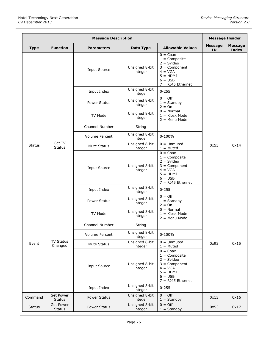|               | <b>Message Description</b>        |                       |                           |                                                                                                                                         |                             |                         |
|---------------|-----------------------------------|-----------------------|---------------------------|-----------------------------------------------------------------------------------------------------------------------------------------|-----------------------------|-------------------------|
| <b>Type</b>   | <b>Function</b>                   | <b>Parameters</b>     | <b>Data Type</b>          | <b>Allowable Values</b>                                                                                                                 | <b>Message</b><br><b>ID</b> | Message<br><b>Index</b> |
|               |                                   | <b>Input Source</b>   | Unsigned 8-bit<br>integer | $0 = \text{Coax}$<br>$1 =$ Composite<br>$2 = S$ video<br>$3 =$ Component<br>$4 = VGA$<br>$5 = HDMI$<br>$6 = USB$<br>$7 = RJ45$ Ethernet |                             |                         |
|               |                                   | Input Index           | Unsigned 8-bit<br>integer | $0 - 255$                                                                                                                               |                             |                         |
|               |                                   | <b>Power Status</b>   | Unsigned 8-bit<br>integer | $0 = \text{Off}$<br>$1 =$ Standby<br>$2 = On$                                                                                           |                             |                         |
|               |                                   | TV Mode               | Unsigned 8-bit<br>integer | $0 = Normal$<br>$1 =$ Kiosk Mode<br>$2 =$ Menu Mode                                                                                     |                             |                         |
|               |                                   | <b>Channel Number</b> | String                    |                                                                                                                                         |                             |                         |
|               |                                   | <b>Volume Percent</b> | Unsigned 8-bit<br>integer | $0 - 100%$                                                                                                                              |                             |                         |
| <b>Status</b> | Get TV<br><b>Status</b>           | Mute Status           | Unsigned 8-bit<br>integer | $0 =$ Unmuted<br>$1 =$ Muted                                                                                                            | 0x53                        | 0x14                    |
|               |                                   | <b>Input Source</b>   | Unsigned 8-bit<br>integer | $0 = \text{Coax}$<br>$1 =$ Composite<br>$2 = S$ video<br>$3 =$ Component<br>$4 = VGA$<br>$5 = HDMI$<br>$6 = USB$<br>$7 = RJ45$ Ethernet |                             |                         |
|               |                                   | Input Index           | Unsigned 8-bit<br>integer | $0 - 255$                                                                                                                               |                             |                         |
|               |                                   | <b>Power Status</b>   | Unsigned 8-bit<br>integer | $0 = \text{Off}$<br>$1 =$ Standby<br>$2 = On$                                                                                           |                             |                         |
|               |                                   | TV Mode               | Unsigned 8-bit<br>integer | $0 = Normal$<br>$1 =$ Kiosk Mode<br>$2 =$ Menu Mode                                                                                     |                             |                         |
|               |                                   | Channel Number        | String                    |                                                                                                                                         |                             |                         |
|               |                                   | Volume Percent        | Unsigned 8-bit<br>integer | $0 - 100%$                                                                                                                              |                             |                         |
| Event         | <b>TV Status</b><br>Changed       | Mute Status           | Unsigned 8-bit<br>integer | $0 =$ Unmuted<br>$1 =$ Muted                                                                                                            | 0x93                        | 0x15                    |
|               |                                   | <b>Input Source</b>   | Unsigned 8-bit<br>integer | $0 = \text{Coax}$<br>$1 =$ Composite<br>$2 = S$ video<br>$3 =$ Component<br>$4 = VGA$<br>$5 = HDMI$<br>$6 = USB$<br>$7 = RJ45$ Ethernet |                             |                         |
|               |                                   | Input Index           | Unsigned 8-bit<br>integer | $0 - 255$                                                                                                                               |                             |                         |
| Command       | Set Power<br><b>Status</b>        | <b>Power Status</b>   | Unsigned 8-bit<br>integer | $0 = \text{Off}$<br>$1 =$ Standby                                                                                                       | 0x13                        | 0x16                    |
| <b>Status</b> | <b>Get Power</b><br><b>Status</b> | Power Status          | Unsigned 8-bit<br>integer | $0 = \text{Off}$<br>$1 =$ Standby                                                                                                       | 0x53                        | 0x17                    |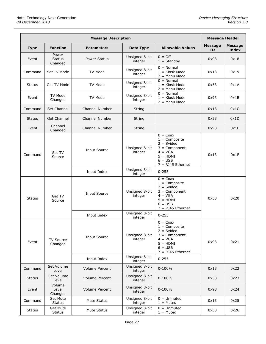|               |                                   | <b>Message Description</b> |                           |                                                                                                                                         | <b>Message Header</b> |                                |
|---------------|-----------------------------------|----------------------------|---------------------------|-----------------------------------------------------------------------------------------------------------------------------------------|-----------------------|--------------------------------|
| <b>Type</b>   | <b>Function</b>                   | <b>Parameters</b>          | Data Type                 | <b>Allowable Values</b>                                                                                                                 | <b>Message</b><br>ID  | <b>Message</b><br><b>Index</b> |
| Event         | Power<br><b>Status</b><br>Changed | <b>Power Status</b>        | Unsigned 8-bit<br>integer | $0 = \text{Off}$<br>$1 =$ Standby                                                                                                       | 0x93                  | 0x18                           |
| Command       | Set TV Mode                       | TV Mode                    | Unsigned 8-bit<br>integer | $0 = Normal$<br>$1 =$ Kiosk Mode<br>$2 =$ Menu Mode                                                                                     | 0x13                  | 0x19                           |
| <b>Status</b> | Get TV Mode                       | TV Mode                    | Unsigned 8-bit<br>integer | $0 = Normal$<br>$1 =$ Kiosk Mode<br>$2 =$ Menu Mode                                                                                     | 0x53                  | 0x1A                           |
| Event         | TV Mode<br>Changed                | TV Mode                    | Unsigned 8-bit<br>integer | $0 = Normal$<br>$1 =$ Kiosk Mode<br>$2 =$ Menu Mode                                                                                     | 0x93                  | 0x1B                           |
| Command       | Set Channel                       | <b>Channel Number</b>      | String                    |                                                                                                                                         | 0x13                  | 0x1C                           |
| <b>Status</b> | <b>Get Channel</b>                | <b>Channel Number</b>      | String                    |                                                                                                                                         | 0x53                  | 0x1D                           |
| Event         | Channel<br>Changed                | <b>Channel Number</b>      | String                    |                                                                                                                                         | 0x93                  | 0x1E                           |
| Command       | Set TV<br>Source                  | <b>Input Source</b>        | Unsigned 8-bit<br>integer | $0 = \text{Coax}$<br>$1 =$ Composite<br>$2 = S$ video<br>$3 =$ Component<br>$4 = VGA$<br>$5 = HDMI$<br>$6 = USB$<br>$7 = RJ45$ Ethernet | 0x13                  | 0x1F                           |
|               |                                   | Input Index                | Unsigned 8-bit<br>integer | $0 - 255$                                                                                                                               |                       |                                |
| <b>Status</b> | Get TV<br>Source                  | <b>Input Source</b>        | Unsigned 8-bit<br>integer | $0 = \text{Coax}$<br>$1 =$ Composite<br>$2 = S$ video<br>$3 =$ Component<br>$4 = VGA$<br>$5 = HDMI$<br>$6 = USE$<br>$7 = RJ45$ Ethernet | 0x53                  | 0x20                           |
|               |                                   | Input Index                | Unsigned 8-bit<br>integer | $0 - 255$                                                                                                                               |                       |                                |
| Event         | <b>TV Source</b><br>Changed       | <b>Input Source</b>        | Unsigned 8-bit<br>integer | $0 = \text{Coax}$<br>$1 =$ Composite<br>$2 = S$ video<br>$3 =$ Component<br>$4 = VGA$<br>$5 = HDMI$<br>$6 = USE$<br>$7 = RJ45$ Ethernet | 0x93                  | 0x21                           |
|               |                                   | Input Index                | Unsigned 8-bit<br>integer | $0 - 255$                                                                                                                               |                       |                                |
| Command       | Set Volume<br>Level               | Volume Percent             | Unsigned 8-bit<br>integer | $0 - 100%$                                                                                                                              | 0x13                  | 0x22                           |
| <b>Status</b> | Get Volume<br>Level               | Volume Percent             | Unsigned 8-bit<br>integer | $0 - 100%$                                                                                                                              | 0x53                  | 0x23                           |
| Event         | Volume<br>Level<br>Changed        | Volume Percent             | Unsigned 8-bit<br>integer | $0 - 100%$                                                                                                                              | 0x93                  | 0x24                           |
| Command       | Set Mute<br><b>Status</b>         | Mute Status                | Unsigned 8-bit<br>integer | $0 =$ Unmuted<br>$1 =$ Muted                                                                                                            | 0x13                  | 0x25                           |
| <b>Status</b> | Get Mute<br>Status                | Mute Status                | Unsigned 8-bit<br>integer | $0 =$ Unmuted<br>$1 =$ Muted                                                                                                            | 0x53                  | 0x26                           |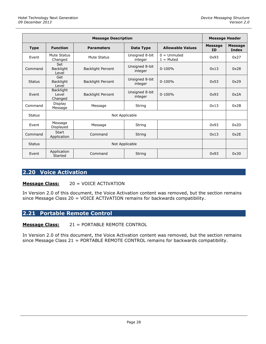|               | <b>Message Description</b>       |                          |                           |                              |                             |                         |
|---------------|----------------------------------|--------------------------|---------------------------|------------------------------|-----------------------------|-------------------------|
| <b>Type</b>   | <b>Function</b>                  | <b>Parameters</b>        | Data Type                 | <b>Allowable Values</b>      | <b>Message</b><br><b>ID</b> | <b>Message</b><br>Index |
| Event         | Mute Status<br>Changed           | Mute Status              | Unsigned 8-bit<br>integer | $0 =$ Unmuted<br>$1 =$ Muted | 0x93                        | 0x27                    |
| Command       | Set<br><b>Backlight</b><br>Level | <b>Backlight Percent</b> | Unsigned 8-bit<br>integer | $0 - 100%$                   | 0x13                        | 0x28                    |
| <b>Status</b> | Get<br>Backlight<br>Level        | <b>Backlight Percent</b> | Unsigned 8-bit<br>integer | $0 - 100%$                   | 0x53                        | 0x29                    |
| Event         | Backlight<br>Level<br>Changed    | <b>Backlight Percent</b> | Unsigned 8-bit<br>integer | $0 - 100%$                   | 0x93                        | 0x2A                    |
| Command       | <b>Display</b><br>Message        | Message                  | String                    |                              | 0x13                        | 0x2B                    |
| <b>Status</b> |                                  |                          | Not Applicable            |                              |                             |                         |
| Event         | Message<br>Displayed             | Message                  | String                    |                              | 0x93                        | 0x2D                    |
| Command       | Start<br>Application             | Command                  | String                    |                              | 0x13                        | 0x2E                    |
| <b>Status</b> | Not Applicable                   |                          |                           |                              |                             |                         |
| Event         | Application<br><b>Started</b>    | Command                  | <b>String</b>             |                              | 0x93                        | 0x30                    |

## <span id="page-27-0"></span>**2.20 Voice Activation**

#### **Message Class:** 20 = VOICE ACTIVATION

In Version 2.0 of this document, the Voice Activation content was removed, but the section remains since Message Class 20 = VOICE ACTIVATION remains for backwards compatibility.

## <span id="page-27-1"></span>**2.21 Portable Remote Control**

**Message Class:** 21 = PORTABLE REMOTE CONTROL

In Version 2.0 of this document, the Voice Activation content was removed, but the section remains since Message Class 21 = PORTABLE REMOTE CONTROL remains for backwards compatibility.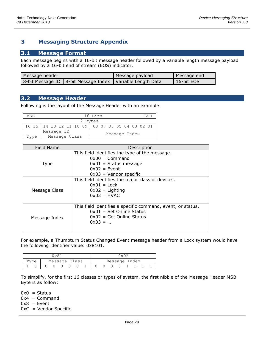## <span id="page-28-0"></span>**3 Messaging Structure Appendix**

#### <span id="page-28-1"></span>**3.1 Message Format**

Each message begins with a 16-bit message header followed by a variable length message payload followed by a 16-bit end of stream (EOS) indicator.

| Message header |                                                               | Message payload | Message end        |  |  |
|----------------|---------------------------------------------------------------|-----------------|--------------------|--|--|
|                | 8-bit Message ID   8-bit Message Index   Variable Length Data |                 | $\cdot$ 16-bit EOS |  |  |

## <span id="page-28-2"></span>**3.2 Message Header**

Following is the layout of the Message Header with an example:

| MSB  | 16 Bits<br><b>LSK</b> |                                                     |  |  |  |  |
|------|-----------------------|-----------------------------------------------------|--|--|--|--|
|      | 2 Bytes               |                                                     |  |  |  |  |
|      |                       | 16 15   14 13 12 11 10 09   08 07 06 05 04 03 02 01 |  |  |  |  |
|      | Message ID            | Message Index                                       |  |  |  |  |
| Tvpe | Message Class         |                                                     |  |  |  |  |

| Field Name    | Description                                                                                                                                 |  |  |  |
|---------------|---------------------------------------------------------------------------------------------------------------------------------------------|--|--|--|
| <b>Type</b>   | This field identifies the type of the message.<br>$0x00 =$ Command<br>$0x01 =$ Status message<br>$0x02 =$ Event<br>$0x03 =$ Vendor specific |  |  |  |
| Message Class | This field identifies the major class of devices.<br>$0x01 =$ Lock<br>$0x02 =$ Lighting<br>$0x03 = HVAC$                                    |  |  |  |
| Message Index | This field identifies a specific command, event, or status.<br>$0x01 = Set$ Online Status<br>$0x02 = Get Online Status$<br>$0x03 = $        |  |  |  |

For example, a Thumbturn Status Changed Event message header from a Lock system would have the following identifier value: 0x8101.

| マ |               |  |  |  |  | ルム |  |  |               |  |  |  |  |  |
|---|---------------|--|--|--|--|----|--|--|---------------|--|--|--|--|--|
|   | Message Class |  |  |  |  |    |  |  | Message Index |  |  |  |  |  |
|   |               |  |  |  |  |    |  |  |               |  |  |  |  |  |

To simplify, for the first 16 classes or types of system, the first nibble of the Message Header MSB Byte is as follow:

 $0x0 =$ Status  $0x4 =$ Command  $0x8 = Event$ 

0xC = Vendor Specific